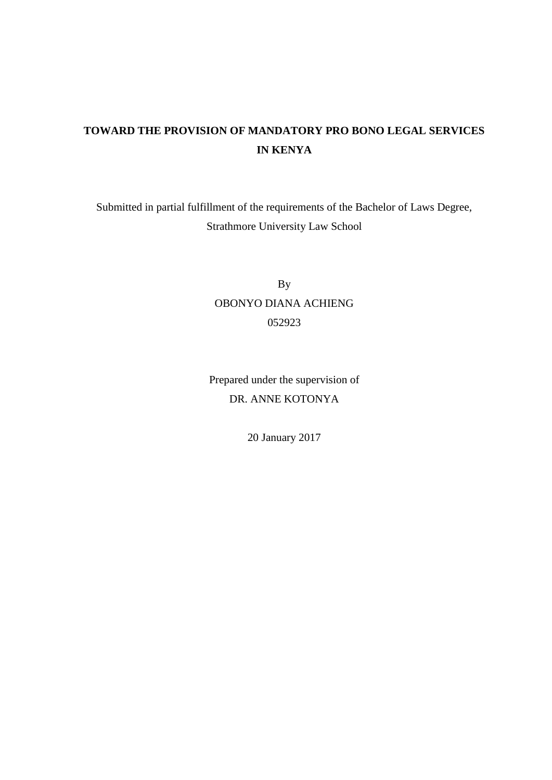# **TOWARD THE PROVISION OF MANDATORY PRO BONO LEGAL SERVICES IN KENYA**

Submitted in partial fulfillment of the requirements of the Bachelor of Laws Degree, Strathmore University Law School

> By OBONYO DIANA ACHIENG 052923

Prepared under the supervision of DR. ANNE KOTONYA

20 January 2017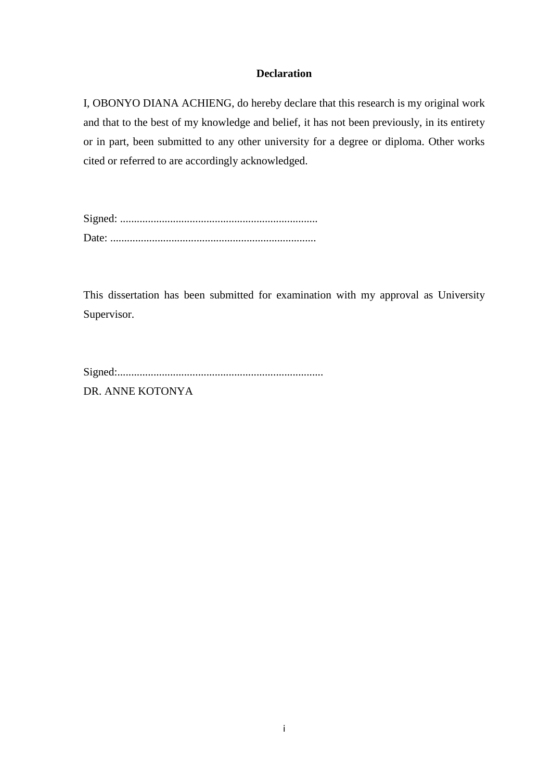## **Declaration**

<span id="page-1-0"></span>I, OBONYO DIANA ACHIENG, do hereby declare that this research is my original work and that to the best of my knowledge and belief, it has not been previously, in its entirety or in part, been submitted to any other university for a degree or diploma. Other works cited or referred to are accordingly acknowledged.

Signed: ....................................................................... Date: ..........................................................................

This dissertation has been submitted for examination with my approval as University Supervisor.

| DR ANNE KOTONYA |  |
|-----------------|--|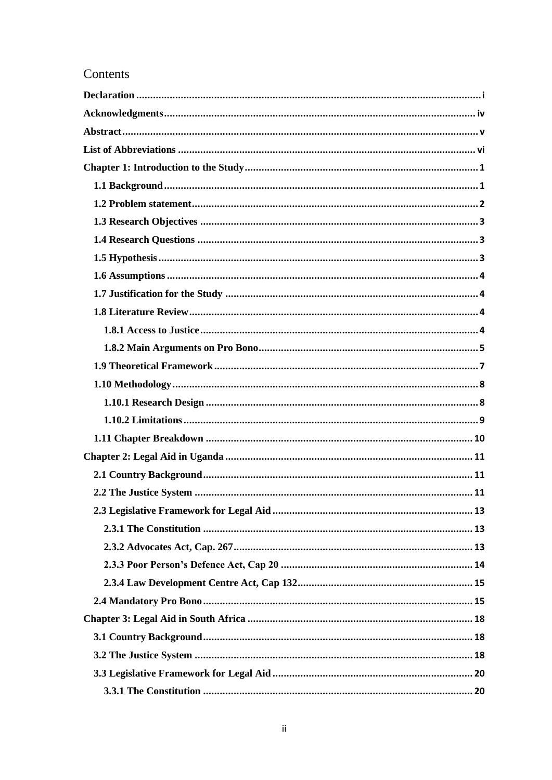## Contents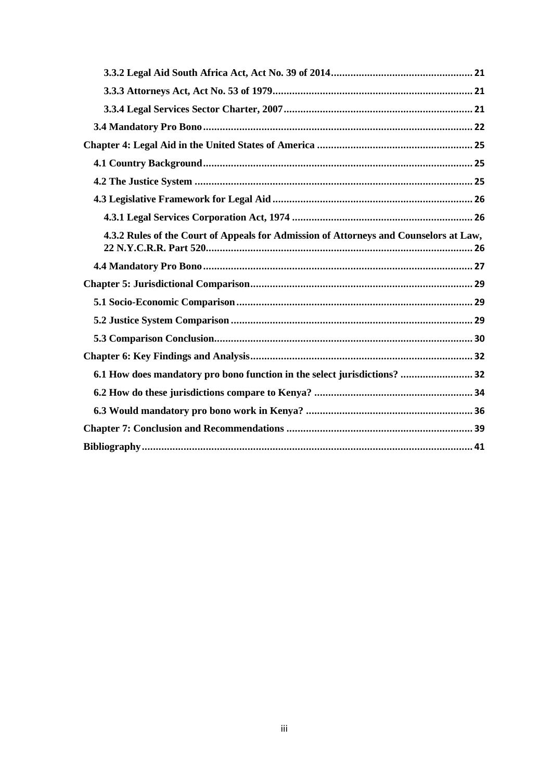| 4.3.2 Rules of the Court of Appeals for Admission of Attorneys and Counselors at Law, |
|---------------------------------------------------------------------------------------|
|                                                                                       |
|                                                                                       |
|                                                                                       |
|                                                                                       |
|                                                                                       |
|                                                                                       |
| 6.1 How does mandatory pro bono function in the select jurisdictions?  32             |
|                                                                                       |
|                                                                                       |
|                                                                                       |
|                                                                                       |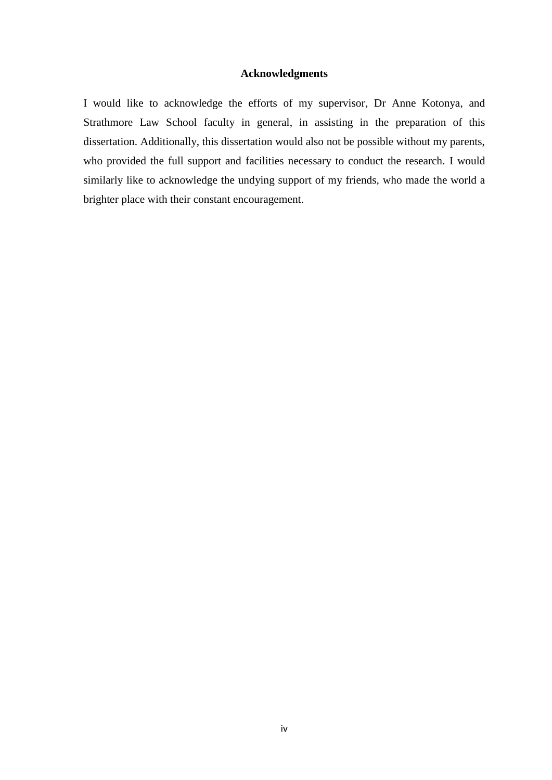## **Acknowledgments**

<span id="page-4-0"></span>I would like to acknowledge the efforts of my supervisor, Dr Anne Kotonya, and Strathmore Law School faculty in general, in assisting in the preparation of this dissertation. Additionally, this dissertation would also not be possible without my parents, who provided the full support and facilities necessary to conduct the research. I would similarly like to acknowledge the undying support of my friends, who made the world a brighter place with their constant encouragement.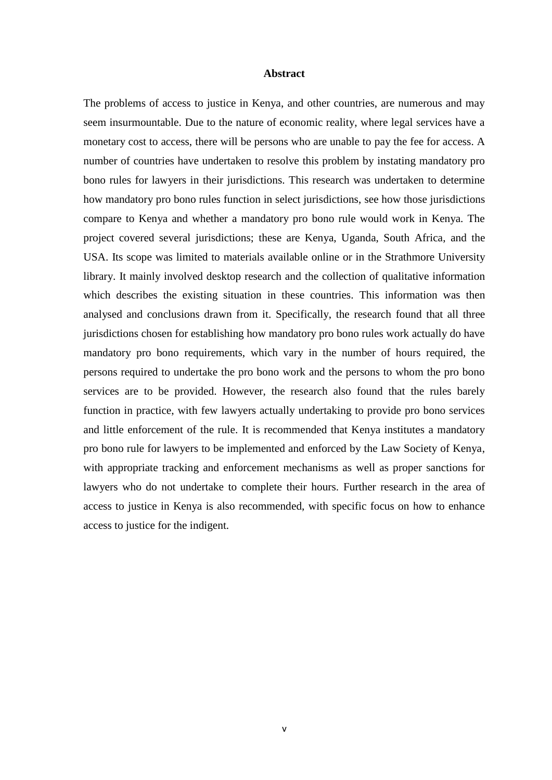#### **Abstract**

<span id="page-5-0"></span>The problems of access to justice in Kenya, and other countries, are numerous and may seem insurmountable. Due to the nature of economic reality, where legal services have a monetary cost to access, there will be persons who are unable to pay the fee for access. A number of countries have undertaken to resolve this problem by instating mandatory pro bono rules for lawyers in their jurisdictions. This research was undertaken to determine how mandatory pro bono rules function in select jurisdictions, see how those jurisdictions compare to Kenya and whether a mandatory pro bono rule would work in Kenya. The project covered several jurisdictions; these are Kenya, Uganda, South Africa, and the USA. Its scope was limited to materials available online or in the Strathmore University library. It mainly involved desktop research and the collection of qualitative information which describes the existing situation in these countries. This information was then analysed and conclusions drawn from it. Specifically, the research found that all three jurisdictions chosen for establishing how mandatory pro bono rules work actually do have mandatory pro bono requirements, which vary in the number of hours required, the persons required to undertake the pro bono work and the persons to whom the pro bono services are to be provided. However, the research also found that the rules barely function in practice, with few lawyers actually undertaking to provide pro bono services and little enforcement of the rule. It is recommended that Kenya institutes a mandatory pro bono rule for lawyers to be implemented and enforced by the Law Society of Kenya, with appropriate tracking and enforcement mechanisms as well as proper sanctions for lawyers who do not undertake to complete their hours. Further research in the area of access to justice in Kenya is also recommended, with specific focus on how to enhance access to justice for the indigent.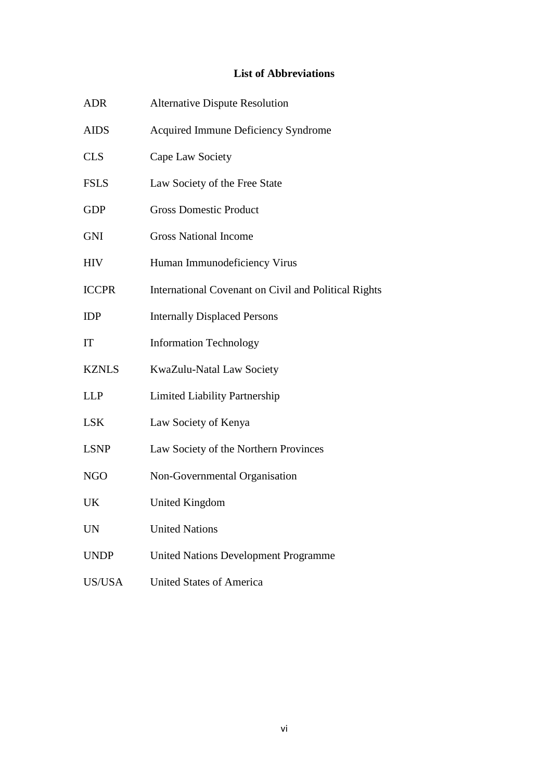## **List of Abbreviations**

<span id="page-6-0"></span>

| <b>ADR</b>   | <b>Alternative Dispute Resolution</b>                |
|--------------|------------------------------------------------------|
| <b>AIDS</b>  | Acquired Immune Deficiency Syndrome                  |
| <b>CLS</b>   | Cape Law Society                                     |
| <b>FSLS</b>  | Law Society of the Free State                        |
| <b>GDP</b>   | <b>Gross Domestic Product</b>                        |
| <b>GNI</b>   | <b>Gross National Income</b>                         |
| <b>HIV</b>   | Human Immunodeficiency Virus                         |
| <b>ICCPR</b> | International Covenant on Civil and Political Rights |
| <b>IDP</b>   | <b>Internally Displaced Persons</b>                  |
| IT           | <b>Information Technology</b>                        |
| <b>KZNLS</b> | KwaZulu-Natal Law Society                            |
| <b>LLP</b>   | <b>Limited Liability Partnership</b>                 |
| <b>LSK</b>   | Law Society of Kenya                                 |
| <b>LSNP</b>  | Law Society of the Northern Provinces                |
| <b>NGO</b>   | Non-Governmental Organisation                        |
| UK           | <b>United Kingdom</b>                                |
| <b>UN</b>    | <b>United Nations</b>                                |
| <b>UNDP</b>  | <b>United Nations Development Programme</b>          |
| US/USA       | <b>United States of America</b>                      |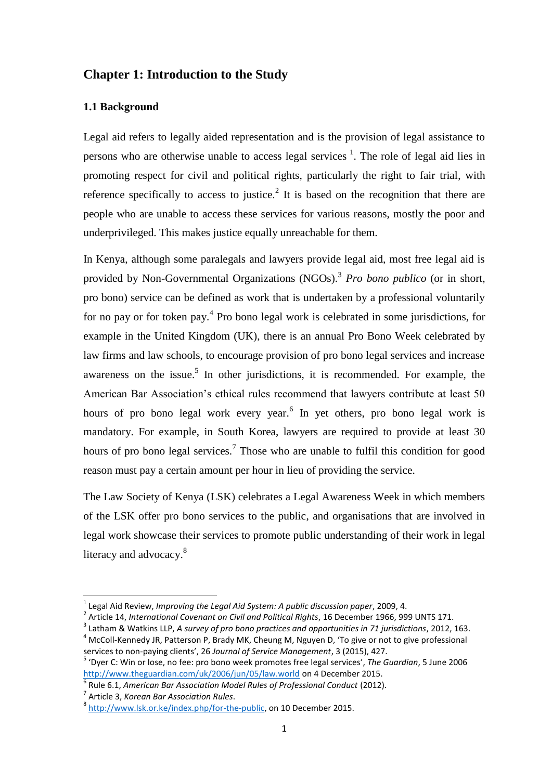## <span id="page-7-0"></span>**Chapter 1: Introduction to the Study**

### <span id="page-7-1"></span>**1.1 Background**

Legal aid refers to legally aided representation and is the provision of legal assistance to persons who are otherwise unable to access legal services  $<sup>1</sup>$ . The role of legal aid lies in</sup> promoting respect for civil and political rights, particularly the right to fair trial, with reference specifically to access to justice.<sup>2</sup> It is based on the recognition that there are people who are unable to access these services for various reasons, mostly the poor and underprivileged. This makes justice equally unreachable for them.

In Kenya, although some paralegals and lawyers provide legal aid, most free legal aid is provided by Non-Governmental Organizations (NGOs).<sup>3</sup> Pro bono publico (or in short, pro bono) service can be defined as work that is undertaken by a professional voluntarily for no pay or for token pay.<sup>4</sup> Pro bono legal work is celebrated in some jurisdictions, for example in the United Kingdom (UK), there is an annual Pro Bono Week celebrated by law firms and law schools, to encourage provision of pro bono legal services and increase awareness on the issue.<sup>5</sup> In other jurisdictions, it is recommended. For example, the American Bar Association"s ethical rules recommend that lawyers contribute at least 50 hours of pro bono legal work every year.<sup>6</sup> In yet others, pro bono legal work is mandatory. For example, in South Korea, lawyers are required to provide at least 30 hours of pro bono legal services.<sup>7</sup> Those who are unable to fulfil this condition for good reason must pay a certain amount per hour in lieu of providing the service.

The Law Society of Kenya (LSK) celebrates a Legal Awareness Week in which members of the LSK offer pro bono services to the public, and organisations that are involved in legal work showcase their services to promote public understanding of their work in legal literacy and advocacy.<sup>8</sup>

7 Article 3, *Korean Bar Association Rules*.

<sup>1</sup> Legal Aid Review, *Improving the Legal Aid System: A public discussion paper*, 2009, 4.

<sup>2</sup> Article 14, *International Covenant on Civil and Political Rights*, 16 December 1966, 999 UNTS 171.

<sup>3</sup> Latham & Watkins LLP, *A survey of pro bono practices and opportunities in 71 jurisdictions*, 2012, 163.

 $<sup>4</sup>$  McColl-Kennedy JR, Patterson P, Brady MK, Cheung M, Nguyen D, 'To give or not to give professional</sup> services to non-paying clients', 26 *Journal of Service Management*, 3 (2015), 427.

<sup>5</sup> 'Dyer C: Win or lose, no fee: pro bono week promotes free legal services', *The Guardian*, 5 June 2006 <http://www.theguardian.com/uk/2006/jun/05/law.world> on 4 December 2015.

<sup>6</sup> Rule 6.1, *American Bar Association Model Rules of Professional Conduct* (2012).

<sup>&</sup>lt;sup>8</sup> [http://www.lsk.or.ke/index.php/for-the-public,](http://www.lsk.or.ke/index.php/for-the-public) on 10 December 2015.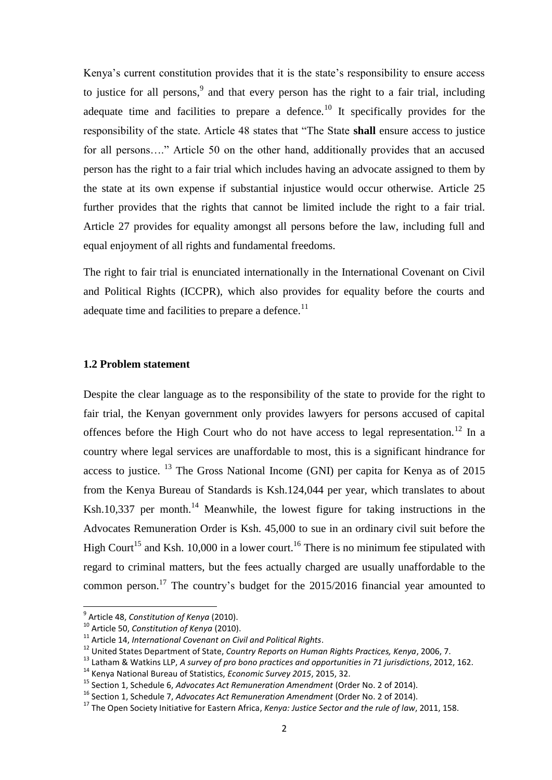Kenya's current constitution provides that it is the state's responsibility to ensure access to justice for all persons,  $9$  and that every person has the right to a fair trial, including adequate time and facilities to prepare a defence.<sup>10</sup> It specifically provides for the responsibility of the state. Article 48 states that "The State **shall** ensure access to justice for all persons...." Article 50 on the other hand, additionally provides that an accused person has the right to a fair trial which includes having an advocate assigned to them by the state at its own expense if substantial injustice would occur otherwise. Article 25 further provides that the rights that cannot be limited include the right to a fair trial. Article 27 provides for equality amongst all persons before the law, including full and equal enjoyment of all rights and fundamental freedoms.

The right to fair trial is enunciated internationally in the International Covenant on Civil and Political Rights (ICCPR), which also provides for equality before the courts and adequate time and facilities to prepare a defence.<sup>11</sup>

#### <span id="page-8-0"></span>**1.2 Problem statement**

Despite the clear language as to the responsibility of the state to provide for the right to fair trial, the Kenyan government only provides lawyers for persons accused of capital offences before the High Court who do not have access to legal representation.<sup>12</sup> In a country where legal services are unaffordable to most, this is a significant hindrance for access to justice.  $^{13}$  The Gross National Income (GNI) per capita for Kenya as of 2015 from the Kenya Bureau of Standards is Ksh.124,044 per year, which translates to about Ksh.10,337 per month.<sup>14</sup> Meanwhile, the lowest figure for taking instructions in the Advocates Remuneration Order is Ksh. 45,000 to sue in an ordinary civil suit before the High Court<sup>15</sup> and Ksh. 10,000 in a lower court.<sup>16</sup> There is no minimum fee stipulated with regard to criminal matters, but the fees actually charged are usually unaffordable to the common person.<sup>17</sup> The country's budget for the  $2015/2016$  financial year amounted to

 9 Article 48, *Constitution of Kenya* (2010).

<sup>10</sup> Article 50, *Constitution of Kenya* (2010).

<sup>11</sup> Article 14, *International Covenant on Civil and Political Rights*.

<sup>12</sup> United States Department of State, *Country Reports on Human Rights Practices, Kenya*, 2006, 7.

<sup>13</sup> Latham & Watkins LLP, *A survey of pro bono practices and opportunities in 71 jurisdictions*, 2012, 162.

<sup>14</sup> Kenya National Bureau of Statistics, *Economic Survey 2015*, 2015, 32.

<sup>15</sup> Section 1, Schedule 6, *Advocates Act Remuneration Amendment* (Order No. 2 of 2014).

<sup>16</sup> Section 1, Schedule 7, *Advocates Act Remuneration Amendment* (Order No. 2 of 2014).

<sup>17</sup> The Open Society Initiative for Eastern Africa, *Kenya: Justice Sector and the rule of law*, 2011, 158.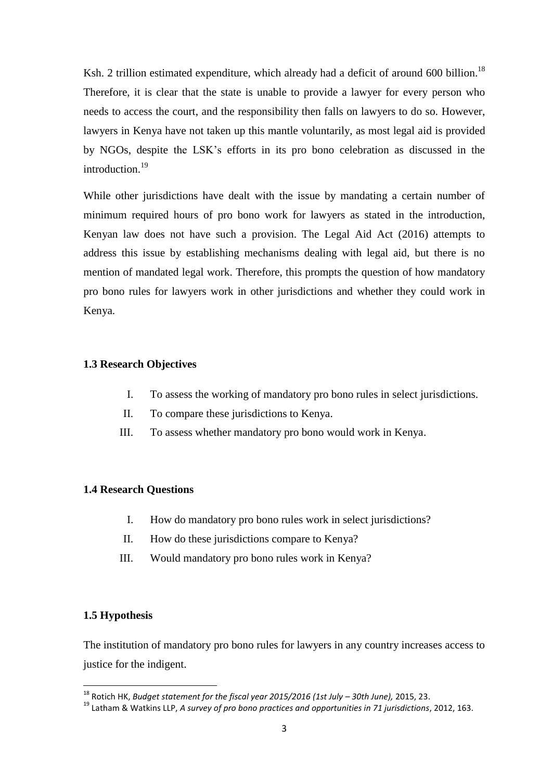Ksh. 2 trillion estimated expenditure, which already had a deficit of around 600 billion.<sup>18</sup> Therefore, it is clear that the state is unable to provide a lawyer for every person who needs to access the court, and the responsibility then falls on lawyers to do so. However, lawyers in Kenya have not taken up this mantle voluntarily, as most legal aid is provided by NGOs, despite the LSK"s efforts in its pro bono celebration as discussed in the introduction.<sup>19</sup>

While other jurisdictions have dealt with the issue by mandating a certain number of minimum required hours of pro bono work for lawyers as stated in the introduction, Kenyan law does not have such a provision. The Legal Aid Act (2016) attempts to address this issue by establishing mechanisms dealing with legal aid, but there is no mention of mandated legal work. Therefore, this prompts the question of how mandatory pro bono rules for lawyers work in other jurisdictions and whether they could work in Kenya.

### <span id="page-9-0"></span>**1.3 Research Objectives**

- I. To assess the working of mandatory pro bono rules in select jurisdictions.
- II. To compare these jurisdictions to Kenya.
- III. To assess whether mandatory pro bono would work in Kenya.

### <span id="page-9-1"></span>**1.4 Research Questions**

- I. How do mandatory pro bono rules work in select jurisdictions?
- II. How do these jurisdictions compare to Kenya?
- III. Would mandatory pro bono rules work in Kenya?

## <span id="page-9-2"></span>**1.5 Hypothesis**

**.** 

The institution of mandatory pro bono rules for lawyers in any country increases access to justice for the indigent.

<sup>18</sup> Rotich HK, *Budget statement for the fiscal year 2015/2016 (1st July – 30th June),* 2015, 23.

<sup>19</sup> Latham & Watkins LLP, *A survey of pro bono practices and opportunities in 71 jurisdictions*, 2012, 163.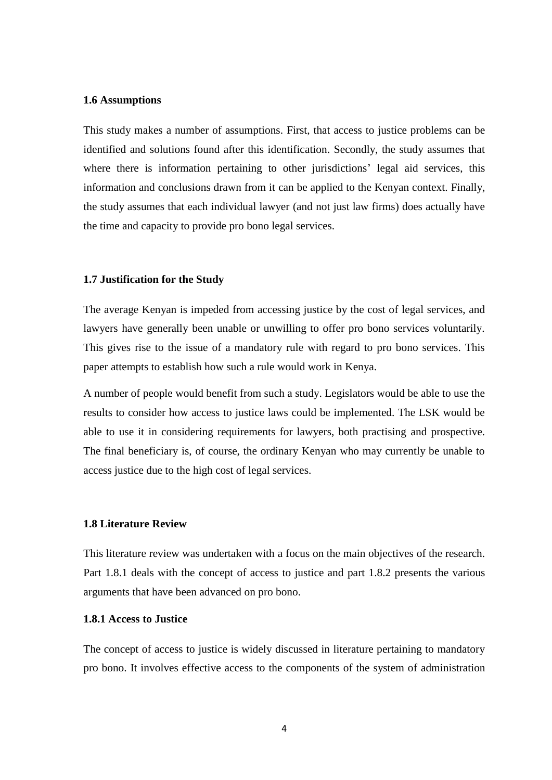#### <span id="page-10-0"></span>**1.6 Assumptions**

This study makes a number of assumptions. First, that access to justice problems can be identified and solutions found after this identification. Secondly, the study assumes that where there is information pertaining to other jurisdictions' legal aid services, this information and conclusions drawn from it can be applied to the Kenyan context. Finally, the study assumes that each individual lawyer (and not just law firms) does actually have the time and capacity to provide pro bono legal services.

#### <span id="page-10-1"></span>**1.7 Justification for the Study**

The average Kenyan is impeded from accessing justice by the cost of legal services, and lawyers have generally been unable or unwilling to offer pro bono services voluntarily. This gives rise to the issue of a mandatory rule with regard to pro bono services. This paper attempts to establish how such a rule would work in Kenya.

A number of people would benefit from such a study. Legislators would be able to use the results to consider how access to justice laws could be implemented. The LSK would be able to use it in considering requirements for lawyers, both practising and prospective. The final beneficiary is, of course, the ordinary Kenyan who may currently be unable to access justice due to the high cost of legal services.

## <span id="page-10-2"></span>**1.8 Literature Review**

This literature review was undertaken with a focus on the main objectives of the research. Part 1.8.1 deals with the concept of access to justice and part 1.8.2 presents the various arguments that have been advanced on pro bono.

#### <span id="page-10-3"></span>**1.8.1 Access to Justice**

The concept of access to justice is widely discussed in literature pertaining to mandatory pro bono. It involves effective access to the components of the system of administration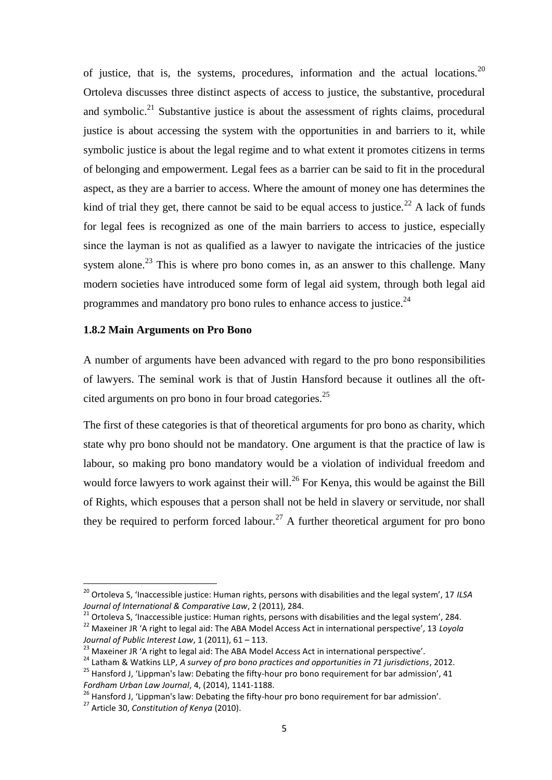of justice, that is, the systems, procedures, information and the actual locations.<sup>20</sup> Ortoleva discusses three distinct aspects of access to justice, the substantive, procedural and symbolic.<sup>21</sup> Substantive justice is about the assessment of rights claims, procedural justice is about accessing the system with the opportunities in and barriers to it, while symbolic justice is about the legal regime and to what extent it promotes citizens in terms of belonging and empowerment. Legal fees as a barrier can be said to fit in the procedural aspect, as they are a barrier to access. Where the amount of money one has determines the kind of trial they get, there cannot be said to be equal access to justice.<sup>22</sup> A lack of funds for legal fees is recognized as one of the main barriers to access to justice, especially since the layman is not as qualified as a lawyer to navigate the intricacies of the justice system alone.<sup>23</sup> This is where pro bono comes in, as an answer to this challenge. Many modern societies have introduced some form of legal aid system, through both legal aid programmes and mandatory pro bono rules to enhance access to justice.<sup>24</sup>

## <span id="page-11-0"></span>**1.8.2 Main Arguments on Pro Bono**

A number of arguments have been advanced with regard to the pro bono responsibilities of lawyers. The seminal work is that of Justin Hansford because it outlines all the oftcited arguments on pro bono in four broad categories.<sup>25</sup>

The first of these categories is that of theoretical arguments for pro bono as charity, which state why pro bono should not be mandatory. One argument is that the practice of law is labour, so making pro bono mandatory would be a violation of individual freedom and would force lawyers to work against their will.<sup>26</sup> For Kenya, this would be against the Bill of Rights, which espouses that a person shall not be held in slavery or servitude, nor shall they be required to perform forced labour.<sup>27</sup> A further theoretical argument for pro bono

1

<sup>20</sup> Ortoleva S, 'Inaccessible justice: Human rights, persons with disabilities and the legal system', 17 *ILSA Journal of International & Comparative Law*, 2 (2011), 284.

<sup>&</sup>lt;sup>21</sup> Ortoleva S, 'Inaccessible justice: Human rights, persons with disabilities and the legal system', 284.

<sup>22</sup> Maxeiner JR 'A right to legal aid: The ABA Model Access Act in international perspective', 13 *Loyola Journal of Public Interest Law*, 1 (2011), 61 – 113.

<sup>&</sup>lt;sup>23</sup> Maxeiner JR 'A right to legal aid: The ABA Model Access Act in international perspective'.

<sup>24</sup> Latham & Watkins LLP, *A survey of pro bono practices and opportunities in 71 jurisdictions*, 2012. <sup>25</sup> Hansford J, 'Lippman's law: Debating the fifty-hour pro bono requirement for bar admission', 41 *Fordham Urban Law Journal*, 4, (2014), 1141-1188.

<sup>&</sup>lt;sup>26</sup> Hansford J, 'Lippman's law: Debating the fifty-hour pro bono requirement for bar admission'.

<sup>27</sup> Article 30, *Constitution of Kenya* (2010).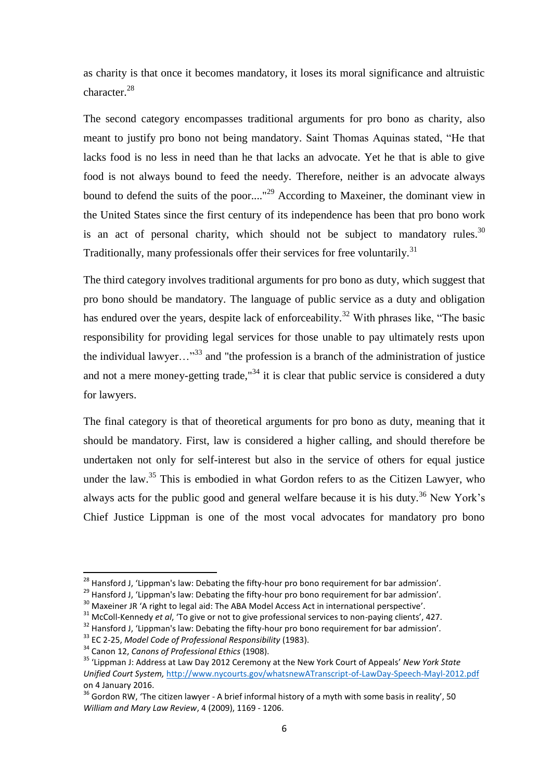as charity is that once it becomes mandatory, it loses its moral significance and altruistic character.<sup>28</sup>

The second category encompasses traditional arguments for pro bono as charity, also meant to justify pro bono not being mandatory. Saint Thomas Aquinas stated, "He that lacks food is no less in need than he that lacks an advocate. Yet he that is able to give food is not always bound to feed the needy. Therefore, neither is an advocate always bound to defend the suits of the poor...."<sup>29</sup> According to Maxeiner, the dominant view in the United States since the first century of its independence has been that pro bono work is an act of personal charity, which should not be subject to mandatory rules.<sup>30</sup> Traditionally, many professionals offer their services for free voluntarily.<sup>31</sup>

The third category involves traditional arguments for pro bono as duty, which suggest that pro bono should be mandatory. The language of public service as a duty and obligation has endured over the years, despite lack of enforceability.<sup>32</sup> With phrases like, "The basic responsibility for providing legal services for those unable to pay ultimately rests upon the individual lawyer... $^{33}$  and "the profession is a branch of the administration of justice and not a mere money-getting trade,  $134$  it is clear that public service is considered a duty for lawyers.

The final category is that of theoretical arguments for pro bono as duty, meaning that it should be mandatory. First, law is considered a higher calling, and should therefore be undertaken not only for self-interest but also in the service of others for equal justice under the law.<sup>35</sup> This is embodied in what Gordon refers to as the Citizen Lawyer, who always acts for the public good and general welfare because it is his duty.<sup>36</sup> New York's Chief Justice Lippman is one of the most vocal advocates for mandatory pro bono

<sup>&</sup>lt;sup>28</sup> Hansford J. 'Lippman's law: Debating the fifty-hour pro bono requirement for bar admission'.

<sup>&</sup>lt;sup>29</sup> Hansford J, 'Lippman's law: Debating the fifty-hour pro bono requirement for bar admission'.

<sup>&</sup>lt;sup>30</sup> Maxeiner JR 'A right to legal aid: The ABA Model Access Act in international perspective'.

<sup>&</sup>lt;sup>31</sup> McColl-Kennedy *et al*, 'To give or not to give professional services to non-paying clients', 427.

<sup>&</sup>lt;sup>32</sup> Hansford J, 'Lippman's law: Debating the fifty-hour pro bono requirement for bar admission'.

<sup>33</sup> EC 2-25, *Model Code of Professional Responsibility* (1983).

<sup>34</sup> Canon 12, *Canons of Professional Ethics* (1908).

<sup>35</sup> 'Lippman J: Address at Law Day 2012 Ceremony at the New York Court of Appeals' *New York State Unified Court System,* <http://www.nycourts.gov/whatsnewATranscript-of-LawDay-Speech-Mayl-2012.pdf> on 4 January 2016.

 $36$  Gordon RW, 'The citizen lawyer - A brief informal history of a myth with some basis in reality', 50 *William and Mary Law Review*, 4 (2009), 1169 - 1206.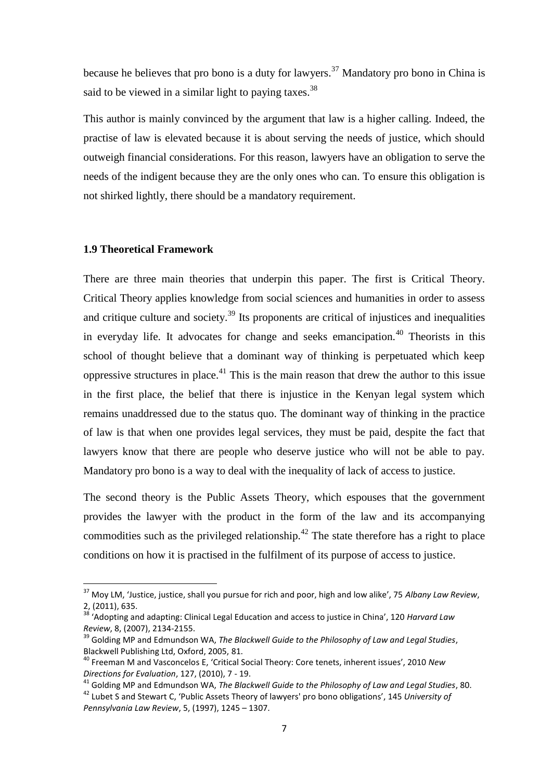because he believes that pro bono is a duty for lawyers.<sup>37</sup> Mandatory pro bono in China is said to be viewed in a similar light to paying taxes.  $38$ 

This author is mainly convinced by the argument that law is a higher calling. Indeed, the practise of law is elevated because it is about serving the needs of justice, which should outweigh financial considerations. For this reason, lawyers have an obligation to serve the needs of the indigent because they are the only ones who can. To ensure this obligation is not shirked lightly, there should be a mandatory requirement.

#### <span id="page-13-0"></span>**1.9 Theoretical Framework**

1

There are three main theories that underpin this paper. The first is Critical Theory. Critical Theory applies knowledge from social sciences and humanities in order to assess and critique culture and society.<sup>39</sup> Its proponents are critical of injustices and inequalities in everyday life. It advocates for change and seeks emancipation.<sup>40</sup> Theorists in this school of thought believe that a dominant way of thinking is perpetuated which keep oppressive structures in place.<sup>41</sup> This is the main reason that drew the author to this issue in the first place, the belief that there is injustice in the Kenyan legal system which remains unaddressed due to the status quo. The dominant way of thinking in the practice of law is that when one provides legal services, they must be paid, despite the fact that lawyers know that there are people who deserve justice who will not be able to pay. Mandatory pro bono is a way to deal with the inequality of lack of access to justice.

The second theory is the Public Assets Theory, which espouses that the government provides the lawyer with the product in the form of the law and its accompanying commodities such as the privileged relationship.<sup> $42$ </sup> The state therefore has a right to place conditions on how it is practised in the fulfilment of its purpose of access to justice.

<sup>37</sup> Moy LM, 'Justice, justice, shall you pursue for rich and poor, high and low alike', 75 *Albany Law Review*, 2, (2011), 635.

<sup>38</sup> 'Adopting and adapting: Clinical Legal Education and access to justice in China', 120 *Harvard Law Review*, 8, (2007), 2134-2155.

<sup>39</sup> Golding MP and Edmundson WA, *The Blackwell Guide to the Philosophy of Law and Legal Studies*, Blackwell Publishing Ltd, Oxford, 2005, 81.

<sup>40</sup> Freeman M and Vasconcelos E, 'Critical Social Theory: Core tenets, inherent issues', 2010 *New Directions for Evaluation*, 127, (2010), 7 - 19.

<sup>41</sup> Golding MP and Edmundson WA, *The Blackwell Guide to the Philosophy of Law and Legal Studies*, 80.

<sup>42</sup> Lubet S and Stewart C, 'Public Assets Theory of lawyers' pro bono obligations', 145 *University of Pennsylvania Law Review*, 5, (1997), 1245 – 1307.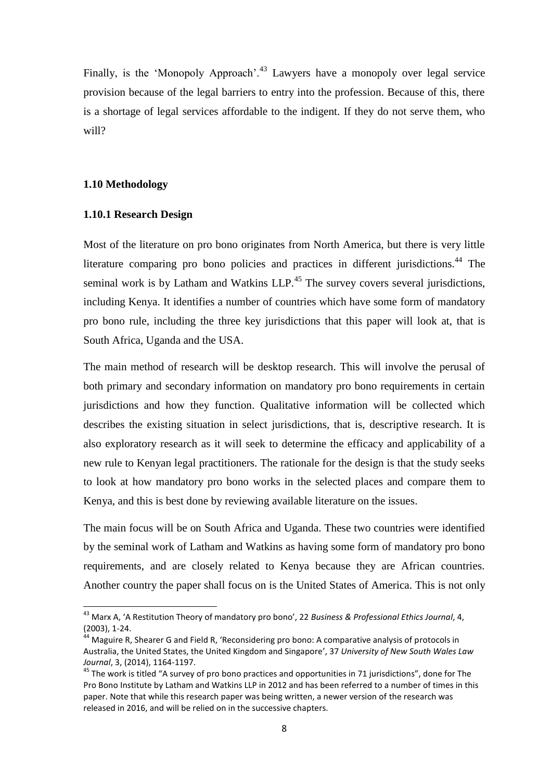Finally, is the 'Monopoly Approach'<sup>43</sup> Lawyers have a monopoly over legal service provision because of the legal barriers to entry into the profession. Because of this, there is a shortage of legal services affordable to the indigent. If they do not serve them, who will?

#### <span id="page-14-0"></span>**1.10 Methodology**

1

#### <span id="page-14-1"></span>**1.10.1 Research Design**

Most of the literature on pro bono originates from North America, but there is very little literature comparing pro bono policies and practices in different jurisdictions.<sup>44</sup> The seminal work is by Latham and Watkins LLP.<sup>45</sup> The survey covers several jurisdictions, including Kenya. It identifies a number of countries which have some form of mandatory pro bono rule, including the three key jurisdictions that this paper will look at, that is South Africa, Uganda and the USA.

The main method of research will be desktop research. This will involve the perusal of both primary and secondary information on mandatory pro bono requirements in certain jurisdictions and how they function. Qualitative information will be collected which describes the existing situation in select jurisdictions, that is, descriptive research. It is also exploratory research as it will seek to determine the efficacy and applicability of a new rule to Kenyan legal practitioners. The rationale for the design is that the study seeks to look at how mandatory pro bono works in the selected places and compare them to Kenya, and this is best done by reviewing available literature on the issues.

The main focus will be on South Africa and Uganda. These two countries were identified by the seminal work of Latham and Watkins as having some form of mandatory pro bono requirements, and are closely related to Kenya because they are African countries. Another country the paper shall focus on is the United States of America. This is not only

<sup>43</sup> Marx A, 'A Restitution Theory of mandatory pro bono', 22 *Business & Professional Ethics Journal*, 4, (2003), 1-24.

<sup>44</sup> Maguire R, Shearer G and Field R, 'Reconsidering pro bono: A comparative analysis of protocols in Australia, the United States, the United Kingdom and Singapore', 37 *University of New South Wales Law Journal*, 3, (2014), 1164-1197.

<sup>&</sup>lt;sup>45</sup> The work is titled "A survey of pro bono practices and opportunities in 71 jurisdictions", done for The Pro Bono Institute by Latham and Watkins LLP in 2012 and has been referred to a number of times in this paper. Note that while this research paper was being written, a newer version of the research was released in 2016, and will be relied on in the successive chapters.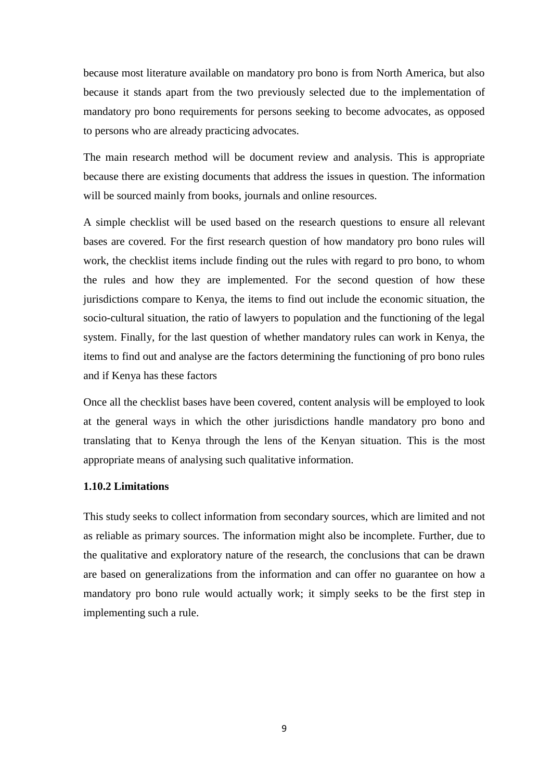because most literature available on mandatory pro bono is from North America, but also because it stands apart from the two previously selected due to the implementation of mandatory pro bono requirements for persons seeking to become advocates, as opposed to persons who are already practicing advocates.

The main research method will be document review and analysis. This is appropriate because there are existing documents that address the issues in question. The information will be sourced mainly from books, journals and online resources.

A simple checklist will be used based on the research questions to ensure all relevant bases are covered. For the first research question of how mandatory pro bono rules will work, the checklist items include finding out the rules with regard to pro bono, to whom the rules and how they are implemented. For the second question of how these jurisdictions compare to Kenya, the items to find out include the economic situation, the socio-cultural situation, the ratio of lawyers to population and the functioning of the legal system. Finally, for the last question of whether mandatory rules can work in Kenya, the items to find out and analyse are the factors determining the functioning of pro bono rules and if Kenya has these factors

Once all the checklist bases have been covered, content analysis will be employed to look at the general ways in which the other jurisdictions handle mandatory pro bono and translating that to Kenya through the lens of the Kenyan situation. This is the most appropriate means of analysing such qualitative information.

## <span id="page-15-0"></span>**1.10.2 Limitations**

This study seeks to collect information from secondary sources, which are limited and not as reliable as primary sources. The information might also be incomplete. Further, due to the qualitative and exploratory nature of the research, the conclusions that can be drawn are based on generalizations from the information and can offer no guarantee on how a mandatory pro bono rule would actually work; it simply seeks to be the first step in implementing such a rule.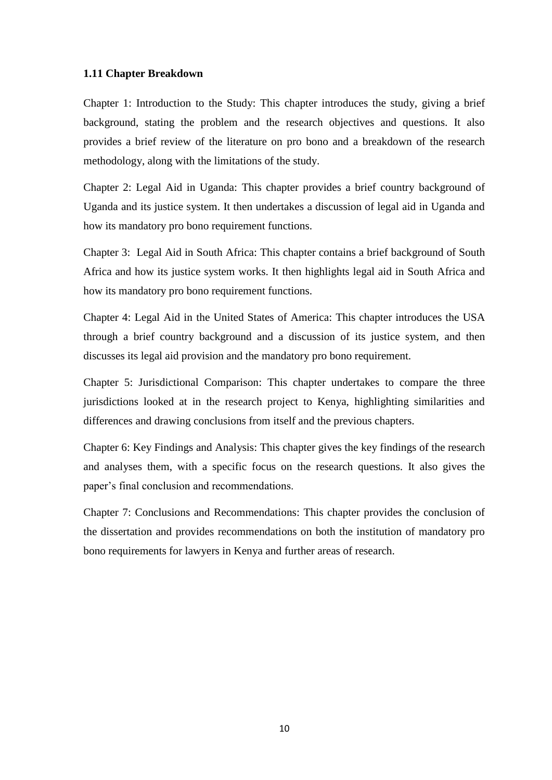#### <span id="page-16-0"></span>**1.11 Chapter Breakdown**

Chapter 1: Introduction to the Study: This chapter introduces the study, giving a brief background, stating the problem and the research objectives and questions. It also provides a brief review of the literature on pro bono and a breakdown of the research methodology, along with the limitations of the study.

Chapter 2: Legal Aid in Uganda: This chapter provides a brief country background of Uganda and its justice system. It then undertakes a discussion of legal aid in Uganda and how its mandatory pro bono requirement functions.

Chapter 3: Legal Aid in South Africa: This chapter contains a brief background of South Africa and how its justice system works. It then highlights legal aid in South Africa and how its mandatory pro bono requirement functions.

Chapter 4: Legal Aid in the United States of America: This chapter introduces the USA through a brief country background and a discussion of its justice system, and then discusses its legal aid provision and the mandatory pro bono requirement.

Chapter 5: Jurisdictional Comparison: This chapter undertakes to compare the three jurisdictions looked at in the research project to Kenya, highlighting similarities and differences and drawing conclusions from itself and the previous chapters.

Chapter 6: Key Findings and Analysis: This chapter gives the key findings of the research and analyses them, with a specific focus on the research questions. It also gives the paper"s final conclusion and recommendations.

Chapter 7: Conclusions and Recommendations: This chapter provides the conclusion of the dissertation and provides recommendations on both the institution of mandatory pro bono requirements for lawyers in Kenya and further areas of research.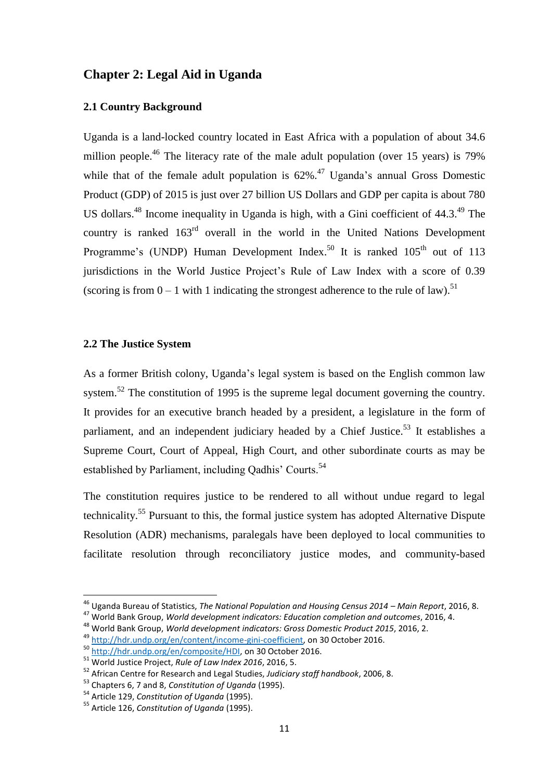## <span id="page-17-0"></span>**Chapter 2: Legal Aid in Uganda**

## <span id="page-17-1"></span>**2.1 Country Background**

Uganda is a land-locked country located in East Africa with a population of about 34.6 million people.<sup>46</sup> The literacy rate of the male adult population (over 15 years) is 79% while that of the female adult population is  $62\%$ .<sup>47</sup> Uganda's annual Gross Domestic Product (GDP) of 2015 is just over 27 billion US Dollars and GDP per capita is about 780 US dollars.<sup>48</sup> Income inequality in Uganda is high, with a Gini coefficient of 44.3.<sup>49</sup> The country is ranked  $163<sup>rd</sup>$  overall in the world in the United Nations Development Programme's (UNDP) Human Development Index.<sup>50</sup> It is ranked 105<sup>th</sup> out of 113 jurisdictions in the World Justice Project's Rule of Law Index with a score of 0.39 (scoring is from  $0 - 1$  with 1 indicating the strongest adherence to the rule of law).<sup>51</sup>

## <span id="page-17-2"></span>**2.2 The Justice System**

**.** 

As a former British colony, Uganda"s legal system is based on the English common law system.<sup>52</sup> The constitution of 1995 is the supreme legal document governing the country. It provides for an executive branch headed by a president, a legislature in the form of parliament, and an independent judiciary headed by a Chief Justice.<sup>53</sup> It establishes a Supreme Court, Court of Appeal, High Court, and other subordinate courts as may be established by Parliament, including Qadhis' Courts.<sup>54</sup>

The constitution requires justice to be rendered to all without undue regard to legal technicality.<sup>55</sup> Pursuant to this, the formal justice system has adopted Alternative Dispute Resolution (ADR) mechanisms, paralegals have been deployed to local communities to facilitate resolution through reconciliatory justice modes, and community-based

<sup>46</sup> Uganda Bureau of Statistics, *The National Population and Housing Census 2014 – Main Report*, 2016, 8.

<sup>47</sup> World Bank Group, *World development indicators: Education completion and outcomes*, 2016, 4.

<sup>48</sup> World Bank Group, *World development indicators: Gross Domestic Product 2015*, 2016, 2.

<sup>49</sup> [http://hdr.undp.org/en/content/income-gini-coefficient,](http://hdr.undp.org/en/content/income-gini-coefficient) on 30 October 2016.

<sup>50</sup> [http://hdr.undp.org/en/composite/HDI,](http://hdr.undp.org/en/composite/HDI) on 30 October 2016.

<sup>51</sup> World Justice Project, *Rule of Law Index 2016*, 2016, 5.

<sup>52</sup> African Centre for Research and Legal Studies, *Judiciary staff handbook*, 2006, 8.

<sup>53</sup> Chapters 6, 7 and 8, *Constitution of Uganda* (1995).

<sup>54</sup> Article 129, *Constitution of Uganda* (1995).

<sup>55</sup> Article 126, *Constitution of Uganda* (1995).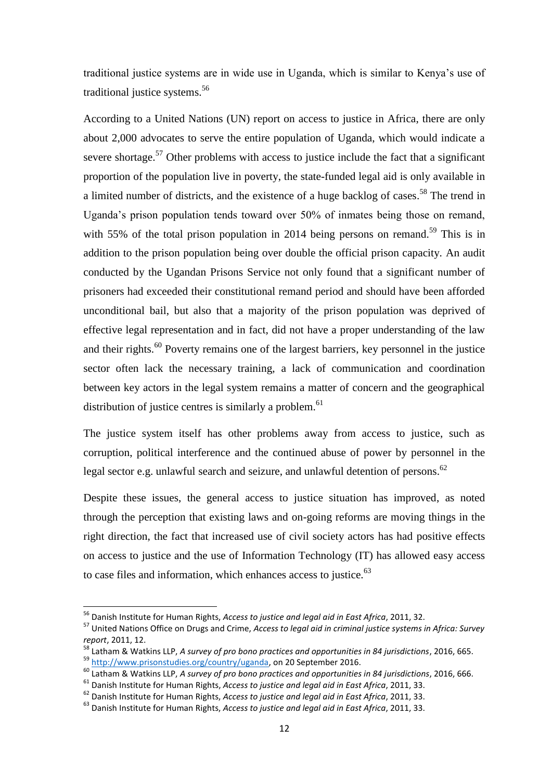traditional justice systems are in wide use in Uganda, which is similar to Kenya"s use of traditional justice systems.<sup>56</sup>

According to a United Nations (UN) report on access to justice in Africa, there are only about 2,000 advocates to serve the entire population of Uganda, which would indicate a severe shortage.<sup>57</sup> Other problems with access to justice include the fact that a significant proportion of the population live in poverty, the state-funded legal aid is only available in a limited number of districts, and the existence of a huge backlog of cases.<sup>58</sup> The trend in Uganda"s prison population tends toward over 50% of inmates being those on remand, with 55% of the total prison population in 2014 being persons on remand.<sup>59</sup> This is in addition to the prison population being over double the official prison capacity. An audit conducted by the Ugandan Prisons Service not only found that a significant number of prisoners had exceeded their constitutional remand period and should have been afforded unconditional bail, but also that a majority of the prison population was deprived of effective legal representation and in fact, did not have a proper understanding of the law and their rights.<sup>60</sup> Poverty remains one of the largest barriers, key personnel in the justice sector often lack the necessary training, a lack of communication and coordination between key actors in the legal system remains a matter of concern and the geographical distribution of justice centres is similarly a problem.<sup>61</sup>

The justice system itself has other problems away from access to justice, such as corruption, political interference and the continued abuse of power by personnel in the legal sector e.g. unlawful search and seizure, and unlawful detention of persons.<sup>62</sup>

Despite these issues, the general access to justice situation has improved, as noted through the perception that existing laws and on-going reforms are moving things in the right direction, the fact that increased use of civil society actors has had positive effects on access to justice and the use of Information Technology (IT) has allowed easy access to case files and information, which enhances access to justice.<sup>63</sup>

1

<sup>56</sup> Danish Institute for Human Rights, *Access to justice and legal aid in East Africa*, 2011, 32.

<sup>57</sup> United Nations Office on Drugs and Crime, *Access to legal aid in criminal justice systems in Africa: Survey report*, 2011, 12.

<sup>58</sup> Latham & Watkins LLP, *A survey of pro bono practices and opportunities in 84 jurisdictions*, 2016, 665. <sup>59</sup> [http://www.prisonstudies.org/country/uganda,](http://www.prisonstudies.org/country/uganda) on 20 September 2016.

<sup>60</sup> Latham & Watkins LLP, *A survey of pro bono practices and opportunities in 84 jurisdictions*, 2016, 666.

<sup>61</sup> Danish Institute for Human Rights, *Access to justice and legal aid in East Africa*, 2011, 33.

<sup>62</sup> Danish Institute for Human Rights, *Access to justice and legal aid in East Africa*, 2011, 33.

<sup>63</sup> Danish Institute for Human Rights, *Access to justice and legal aid in East Africa*, 2011, 33.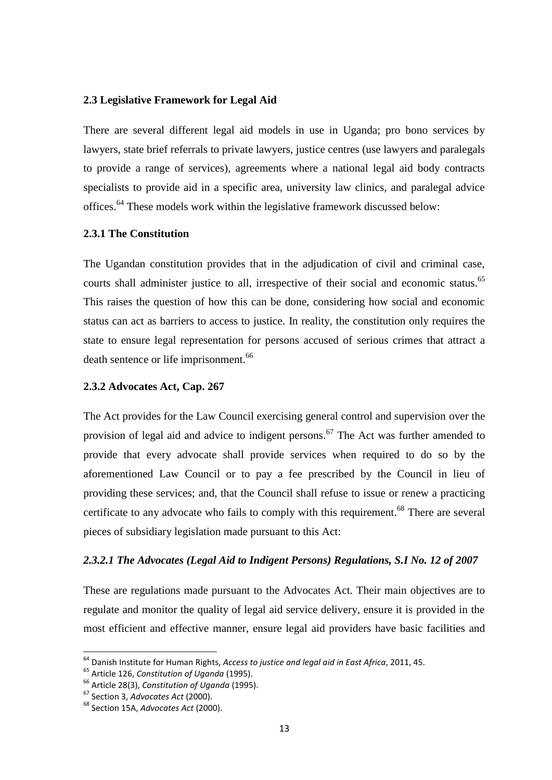## <span id="page-19-0"></span>**2.3 Legislative Framework for Legal Aid**

There are several different legal aid models in use in Uganda; pro bono services by lawyers, state brief referrals to private lawyers, justice centres (use lawyers and paralegals to provide a range of services), agreements where a national legal aid body contracts specialists to provide aid in a specific area, university law clinics, and paralegal advice offices.<sup>64</sup> These models work within the legislative framework discussed below:

## <span id="page-19-1"></span>**2.3.1 The Constitution**

The Ugandan constitution provides that in the adjudication of civil and criminal case, courts shall administer justice to all, irrespective of their social and economic status.<sup>65</sup> This raises the question of how this can be done, considering how social and economic status can act as barriers to access to justice. In reality, the constitution only requires the state to ensure legal representation for persons accused of serious crimes that attract a death sentence or life imprisonment.<sup>66</sup>

## <span id="page-19-2"></span>**2.3.2 Advocates Act, Cap. 267**

The Act provides for the Law Council exercising general control and supervision over the provision of legal aid and advice to indigent persons.<sup>67</sup> The Act was further amended to provide that every advocate shall provide services when required to do so by the aforementioned Law Council or to pay a fee prescribed by the Council in lieu of providing these services; and, that the Council shall refuse to issue or renew a practicing certificate to any advocate who fails to comply with this requirement.<sup>68</sup> There are several pieces of subsidiary legislation made pursuant to this Act:

#### *2.3.2.1 The Advocates (Legal Aid to Indigent Persons) Regulations, S.I No. 12 of 2007*

These are regulations made pursuant to the Advocates Act. Their main objectives are to regulate and monitor the quality of legal aid service delivery, ensure it is provided in the most efficient and effective manner, ensure legal aid providers have basic facilities and

<sup>64</sup> Danish Institute for Human Rights, *Access to justice and legal aid in East Africa*, 2011, 45.

<sup>65</sup> Article 126, *Constitution of Uganda* (1995).

<sup>66</sup> Article 28(3), *Constitution of Uganda* (1995).

<sup>67</sup> Section 3, *Advocates Act* (2000).

<sup>68</sup> Section 15A, *Advocates Act* (2000).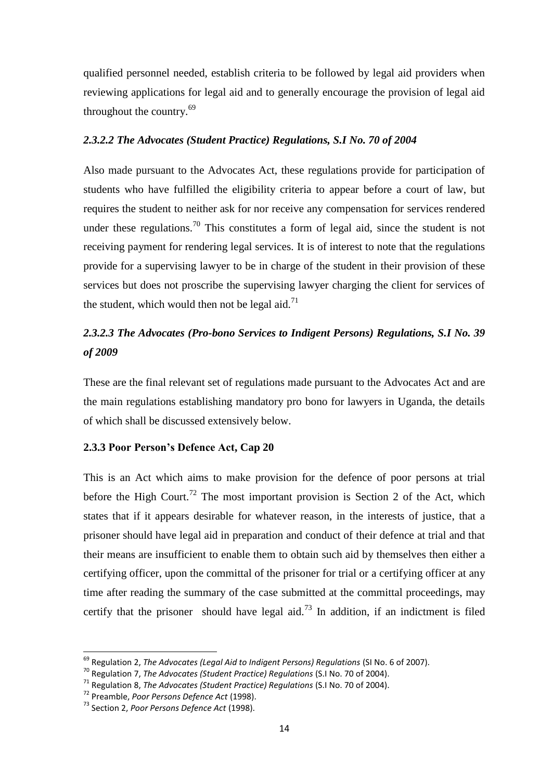qualified personnel needed, establish criteria to be followed by legal aid providers when reviewing applications for legal aid and to generally encourage the provision of legal aid throughout the country.<sup>69</sup>

#### *2.3.2.2 The Advocates (Student Practice) Regulations, S.I No. 70 of 2004*

Also made pursuant to the Advocates Act, these regulations provide for participation of students who have fulfilled the eligibility criteria to appear before a court of law, but requires the student to neither ask for nor receive any compensation for services rendered under these regulations.<sup>70</sup> This constitutes a form of legal aid, since the student is not receiving payment for rendering legal services. It is of interest to note that the regulations provide for a supervising lawyer to be in charge of the student in their provision of these services but does not proscribe the supervising lawyer charging the client for services of the student, which would then not be legal aid.<sup>71</sup>

# *2.3.2.3 The Advocates (Pro-bono Services to Indigent Persons) Regulations, S.I No. 39 of 2009*

These are the final relevant set of regulations made pursuant to the Advocates Act and are the main regulations establishing mandatory pro bono for lawyers in Uganda, the details of which shall be discussed extensively below.

## <span id="page-20-0"></span>**2.3.3 Poor Person's Defence Act, Cap 20**

This is an Act which aims to make provision for the defence of poor persons at trial before the High Court.<sup>72</sup> The most important provision is Section 2 of the Act, which states that if it appears desirable for whatever reason, in the interests of justice, that a prisoner should have legal aid in preparation and conduct of their defence at trial and that their means are insufficient to enable them to obtain such aid by themselves then either a certifying officer, upon the committal of the prisoner for trial or a certifying officer at any time after reading the summary of the case submitted at the committal proceedings, may certify that the prisoner should have legal aid.<sup>73</sup> In addition, if an indictment is filed

<sup>69</sup> Regulation 2, *The Advocates (Legal Aid to Indigent Persons) Regulations* (SI No. 6 of 2007).

<sup>70</sup> Regulation 7, *The Advocates (Student Practice) Regulations* (S.I No. 70 of 2004).

<sup>71</sup> Regulation 8, *The Advocates (Student Practice) Regulations* (S.I No. 70 of 2004).

<sup>72</sup> Preamble, *Poor Persons Defence Act* (1998).

<sup>73</sup> Section 2, *Poor Persons Defence Act* (1998).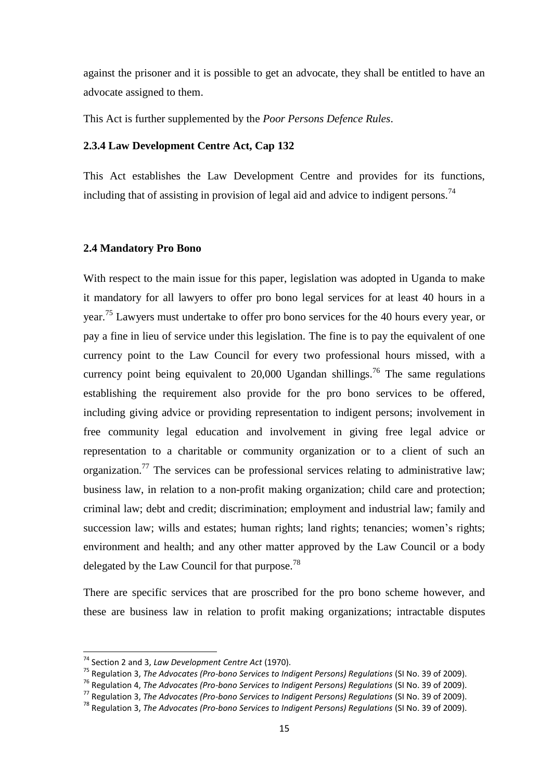against the prisoner and it is possible to get an advocate, they shall be entitled to have an advocate assigned to them.

This Act is further supplemented by the *Poor Persons Defence Rules*.

#### <span id="page-21-0"></span>**2.3.4 Law Development Centre Act, Cap 132**

This Act establishes the Law Development Centre and provides for its functions, including that of assisting in provision of legal aid and advice to indigent persons.<sup>74</sup>

#### <span id="page-21-1"></span>**2.4 Mandatory Pro Bono**

With respect to the main issue for this paper, legislation was adopted in Uganda to make it mandatory for all lawyers to offer pro bono legal services for at least 40 hours in a year.<sup>75</sup> Lawyers must undertake to offer pro bono services for the 40 hours every year, or pay a fine in lieu of service under this legislation. The fine is to pay the equivalent of one currency point to the Law Council for every two professional hours missed, with a currency point being equivalent to  $20,000$  Ugandan shillings.<sup>76</sup> The same regulations establishing the requirement also provide for the pro bono services to be offered, including giving advice or providing representation to indigent persons; involvement in free community legal education and involvement in giving free legal advice or representation to a charitable or community organization or to a client of such an organization.<sup>77</sup> The services can be professional services relating to administrative law; business law, in relation to a non-profit making organization; child care and protection; criminal law; debt and credit; discrimination; employment and industrial law; family and succession law; wills and estates; human rights; land rights; tenancies; women's rights; environment and health; and any other matter approved by the Law Council or a body delegated by the Law Council for that purpose.<sup>78</sup>

There are specific services that are proscribed for the pro bono scheme however, and these are business law in relation to profit making organizations; intractable disputes

<sup>74</sup> Section 2 and 3, *Law Development Centre Act* (1970).

<sup>&</sup>lt;sup>75</sup> Regulation 3, *The Advocates (Pro-bono Services to Indigent Persons) Regulations (SI No. 39 of 2009).* 

<sup>&</sup>lt;sup>76</sup> Regulation 4, *The Advocates (Pro-bono Services to Indigent Persons) Regulations (SI No. 39 of 2009).* 

<sup>77</sup> Regulation 3, *The Advocates (Pro-bono Services to Indigent Persons) Regulations* (SI No. 39 of 2009).

<sup>78</sup> Regulation 3, *The Advocates (Pro-bono Services to Indigent Persons) Regulations* (SI No. 39 of 2009).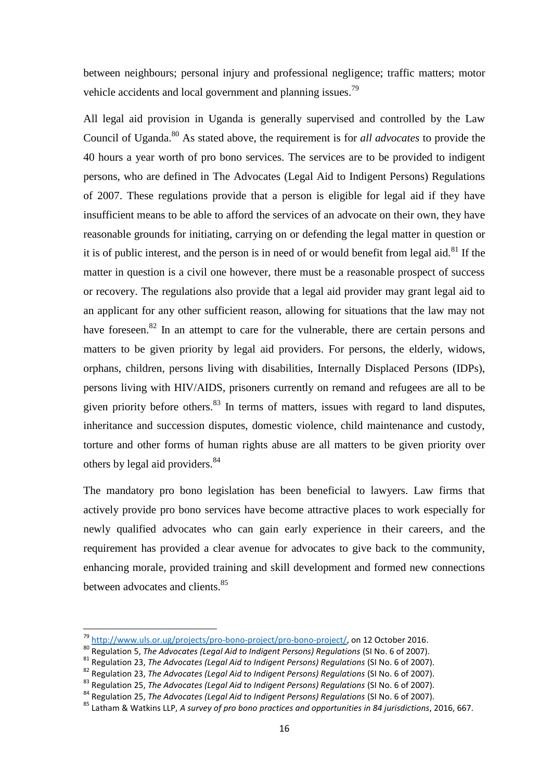between neighbours; personal injury and professional negligence; traffic matters; motor vehicle accidents and local government and planning issues.<sup>79</sup>

All legal aid provision in Uganda is generally supervised and controlled by the Law Council of Uganda.<sup>80</sup> As stated above, the requirement is for *all advocates* to provide the 40 hours a year worth of pro bono services. The services are to be provided to indigent persons, who are defined in The Advocates (Legal Aid to Indigent Persons) Regulations of 2007. These regulations provide that a person is eligible for legal aid if they have insufficient means to be able to afford the services of an advocate on their own, they have reasonable grounds for initiating, carrying on or defending the legal matter in question or it is of public interest, and the person is in need of or would benefit from legal aid.<sup>81</sup> If the matter in question is a civil one however, there must be a reasonable prospect of success or recovery. The regulations also provide that a legal aid provider may grant legal aid to an applicant for any other sufficient reason, allowing for situations that the law may not have foreseen.<sup>82</sup> In an attempt to care for the vulnerable, there are certain persons and matters to be given priority by legal aid providers. For persons, the elderly, widows, orphans, children, persons living with disabilities, Internally Displaced Persons (IDPs), persons living with HIV/AIDS, prisoners currently on remand and refugees are all to be given priority before others. $83$  In terms of matters, issues with regard to land disputes, inheritance and succession disputes, domestic violence, child maintenance and custody, torture and other forms of human rights abuse are all matters to be given priority over others by legal aid providers.<sup>84</sup>

The mandatory pro bono legislation has been beneficial to lawyers. Law firms that actively provide pro bono services have become attractive places to work especially for newly qualified advocates who can gain early experience in their careers, and the requirement has provided a clear avenue for advocates to give back to the community, enhancing morale, provided training and skill development and formed new connections between advocates and clients.<sup>85</sup>

<sup>&</sup>lt;sup>79</sup> [http://www.uls.or.ug/projects/pro-bono-project/pro-bono-project/,](http://www.uls.or.ug/projects/pro-bono-project/pro-bono-project/) on 12 October 2016.

<sup>80</sup> Regulation 5, *The Advocates (Legal Aid to Indigent Persons) Regulations* (SI No. 6 of 2007).

<sup>81</sup> Regulation 23, *The Advocates (Legal Aid to Indigent Persons) Regulations* (SI No. 6 of 2007).

<sup>82</sup> Regulation 23, *The Advocates (Legal Aid to Indigent Persons) Regulations* (SI No. 6 of 2007).

<sup>83</sup> Regulation 25, *The Advocates (Legal Aid to Indigent Persons) Regulations* (SI No. 6 of 2007).

<sup>84</sup> Regulation 25, *The Advocates (Legal Aid to Indigent Persons) Regulations* (SI No. 6 of 2007).

<sup>85</sup> Latham & Watkins LLP, *A survey of pro bono practices and opportunities in 84 jurisdictions*, 2016, 667.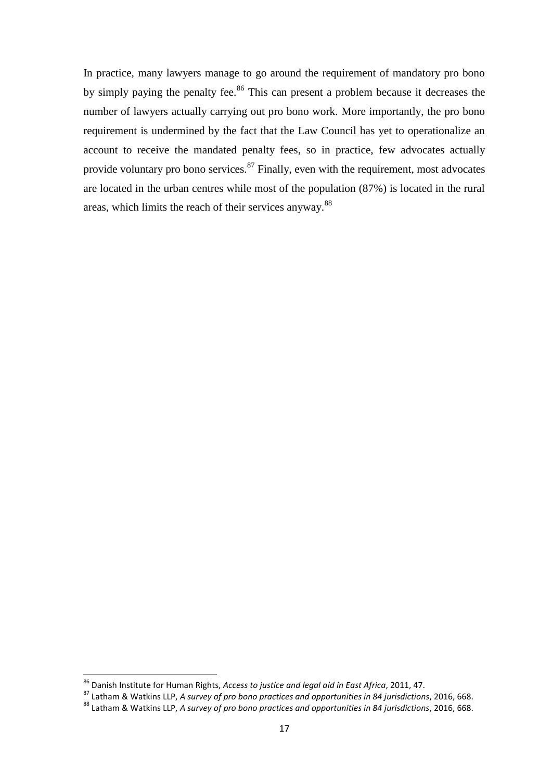In practice, many lawyers manage to go around the requirement of mandatory pro bono by simply paying the penalty fee.<sup>86</sup> This can present a problem because it decreases the number of lawyers actually carrying out pro bono work. More importantly, the pro bono requirement is undermined by the fact that the Law Council has yet to operationalize an account to receive the mandated penalty fees, so in practice, few advocates actually provide voluntary pro bono services.  $87$  Finally, even with the requirement, most advocates are located in the urban centres while most of the population (87%) is located in the rural areas, which limits the reach of their services anyway.<sup>88</sup>

<sup>86</sup> Danish Institute for Human Rights, *Access to justice and legal aid in East Africa*, 2011, 47.

<sup>87</sup> Latham & Watkins LLP, *A survey of pro bono practices and opportunities in 84 jurisdictions*, 2016, 668.

<sup>88</sup> Latham & Watkins LLP, *A survey of pro bono practices and opportunities in 84 jurisdictions*, 2016, 668.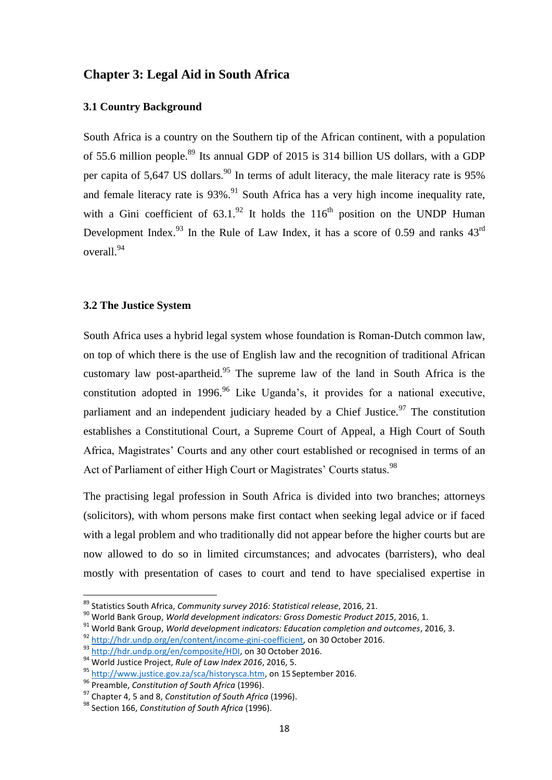## <span id="page-24-0"></span>**Chapter 3: Legal Aid in South Africa**

## <span id="page-24-1"></span>**3.1 Country Background**

South Africa is a country on the Southern tip of the African continent, with a population of 55.6 million people.<sup>89</sup> Its annual GDP of 2015 is 314 billion US dollars, with a GDP per capita of 5,647 US dollars.<sup>90</sup> In terms of adult literacy, the male literacy rate is 95% and female literacy rate is  $93\%$ .<sup>91</sup> South Africa has a very high income inequality rate, with a Gini coefficient of  $63.1.^{92}$  It holds the  $116<sup>th</sup>$  position on the UNDP Human Development Index.<sup>93</sup> In the Rule of Law Index, it has a score of 0.59 and ranks  $43<sup>rd</sup>$ overall.<sup>94</sup>

#### <span id="page-24-2"></span>**3.2 The Justice System**

South Africa uses a hybrid legal system whose foundation is Roman-Dutch common law, on top of which there is the use of English law and the recognition of traditional African customary law post-apartheid.<sup>95</sup> The supreme law of the land in South Africa is the constitution adopted in 1996.<sup>96</sup> Like Uganda's, it provides for a national executive, parliament and an independent judiciary headed by a Chief Justice.<sup>97</sup> The constitution establishes a Constitutional Court, a Supreme Court of Appeal, a High Court of South Africa, Magistrates" Courts and any other court established or recognised in terms of an Act of Parliament of either High Court or Magistrates' Courts status.<sup>98</sup>

The practising legal profession in South Africa is divided into two branches; attorneys (solicitors), with whom persons make first contact when seeking legal advice or if faced with a legal problem and who traditionally did not appear before the higher courts but are now allowed to do so in limited circumstances; and advocates (barristers), who deal mostly with presentation of cases to court and tend to have specialised expertise in

<sup>89</sup> Statistics South Africa, *Community survey 2016: Statistical release*, 2016, 21.

<sup>90</sup> World Bank Group, *World development indicators: Gross Domestic Product 2015*, 2016, 1.

<sup>91</sup> World Bank Group, *World development indicators: Education completion and outcomes*, 2016, 3.

<sup>92</sup> [http://hdr.undp.org/en/content/income-gini-coefficient,](http://hdr.undp.org/en/content/income-gini-coefficient) on 30 October 2016.

<sup>93</sup> [http://hdr.undp.org/en/composite/HDI,](http://hdr.undp.org/en/composite/HDI) on 30 October 2016.

<sup>94</sup> World Justice Project, *Rule of Law Index 2016*, 2016, 5.

<sup>95</sup> [http://www.justice.gov.za/sca/historysca.htm,](http://www.justice.gov.za/sca/historysca.htm) on 15 September 2016.

<sup>96</sup> Preamble, *Constitution of South Africa* (1996).

<sup>97</sup> Chapter 4, 5 and 8, *Constitution of South Africa* (1996).

<sup>98</sup> Section 166, *Constitution of South Africa* (1996).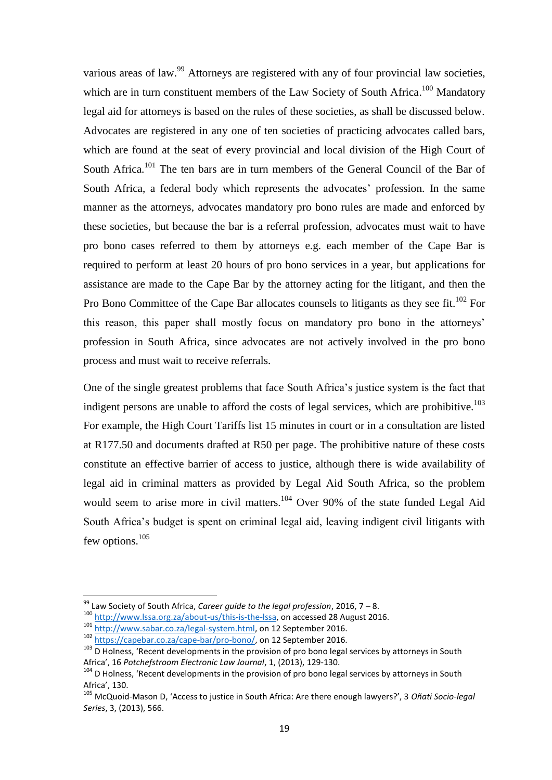various areas of law.<sup>99</sup> Attorneys are registered with any of four provincial law societies, which are in turn constituent members of the Law Society of South Africa.<sup>100</sup> Mandatory legal aid for attorneys is based on the rules of these societies, as shall be discussed below. Advocates are registered in any one of ten societies of practicing advocates called bars, which are found at the seat of every provincial and local division of the High Court of South Africa.<sup>101</sup> The ten bars are in turn members of the General Council of the Bar of South Africa, a federal body which represents the advocates' profession. In the same manner as the attorneys, advocates mandatory pro bono rules are made and enforced by these societies, but because the bar is a referral profession, advocates must wait to have pro bono cases referred to them by attorneys e.g. each member of the Cape Bar is required to perform at least 20 hours of pro bono services in a year, but applications for assistance are made to the Cape Bar by the attorney acting for the litigant, and then the Pro Bono Committee of the Cape Bar allocates counsels to litigants as they see fit.<sup>102</sup> For this reason, this paper shall mostly focus on mandatory pro bono in the attorneys" profession in South Africa, since advocates are not actively involved in the pro bono process and must wait to receive referrals.

One of the single greatest problems that face South Africa"s justice system is the fact that indigent persons are unable to afford the costs of legal services, which are prohibitive.<sup>103</sup> For example, the High Court Tariffs list 15 minutes in court or in a consultation are listed at R177.50 and documents drafted at R50 per page. The prohibitive nature of these costs constitute an effective barrier of access to justice, although there is wide availability of legal aid in criminal matters as provided by Legal Aid South Africa, so the problem would seem to arise more in civil matters.<sup>104</sup> Over 90% of the state funded Legal Aid South Africa"s budget is spent on criminal legal aid, leaving indigent civil litigants with few options.<sup>105</sup>

<sup>99</sup> Law Society of South Africa, *Career guide to the legal profession*, 2016, 7 – 8.

<sup>100</sup> [http://www.lssa.org.za/about-us/this-is-the-lssa,](http://www.lssa.org.za/about-us/this-is-the-lssa) on accessed 28 August 2016.

<sup>101</sup> [http://www.sabar.co.za/legal-system.html,](http://www.sabar.co.za/legal-system.html) on 12 September 2016.

<sup>102</sup> [https://capebar.co.za/cape-bar/pro-bono/,](https://capebar.co.za/cape-bar/pro-bono/) on 12 September 2016.

<sup>103</sup> D Holness, 'Recent developments in the provision of pro bono legal services by attorneys in South Africa', 16 *Potchefstroom Electronic Law Journal*, 1, (2013), 129-130.

<sup>&</sup>lt;sup>104</sup> D Holness, 'Recent developments in the provision of pro bono legal services by attorneys in South Africa', 130.

<sup>105</sup> McQuoid-Mason D, 'Access to justice in South Africa: Are there enough lawyers?', 3 *Oñati Socio-legal Series*, 3, (2013), 566.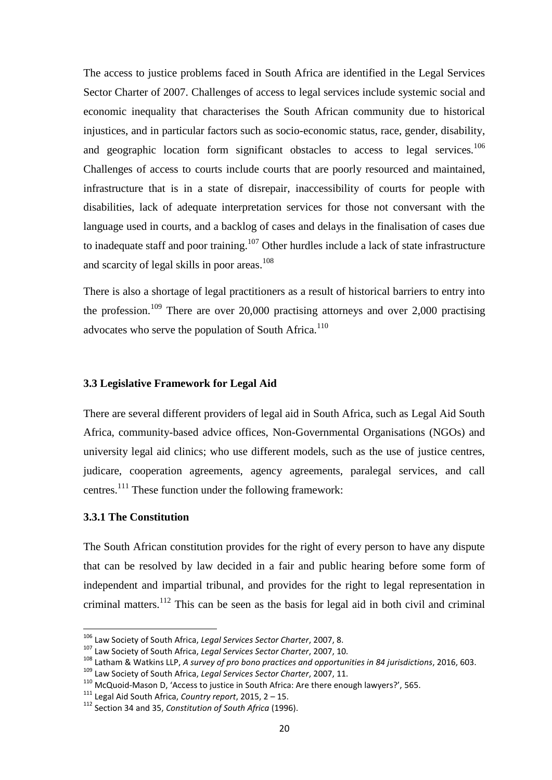The access to justice problems faced in South Africa are identified in the Legal Services Sector Charter of 2007. Challenges of access to legal services include systemic social and economic inequality that characterises the South African community due to historical injustices, and in particular factors such as socio-economic status, race, gender, disability, and geographic location form significant obstacles to access to legal services.<sup>106</sup> Challenges of access to courts include courts that are poorly resourced and maintained, infrastructure that is in a state of disrepair, inaccessibility of courts for people with disabilities, lack of adequate interpretation services for those not conversant with the language used in courts, and a backlog of cases and delays in the finalisation of cases due to inadequate staff and poor training.<sup>107</sup> Other hurdles include a lack of state infrastructure and scarcity of legal skills in poor areas. 108

There is also a shortage of legal practitioners as a result of historical barriers to entry into the profession.<sup>109</sup> There are over 20,000 practising attorneys and over 2,000 practising advocates who serve the population of South Africa.<sup>110</sup>

## <span id="page-26-0"></span>**3.3 Legislative Framework for Legal Aid**

There are several different providers of legal aid in South Africa, such as Legal Aid South Africa, community-based advice offices, Non-Governmental Organisations (NGOs) and university legal aid clinics; who use different models, such as the use of justice centres, judicare, cooperation agreements, agency agreements, paralegal services, and call centres.<sup>111</sup> These function under the following framework:

#### <span id="page-26-1"></span>**3.3.1 The Constitution**

 $\overline{a}$ 

The South African constitution provides for the right of every person to have any dispute that can be resolved by law decided in a fair and public hearing before some form of independent and impartial tribunal, and provides for the right to legal representation in criminal matters.<sup>112</sup> This can be seen as the basis for legal aid in both civil and criminal

<sup>106</sup> Law Society of South Africa, *Legal Services Sector Charter*, 2007, 8.

<sup>107</sup> Law Society of South Africa, *Legal Services Sector Charter*, 2007, 10.

<sup>108</sup> Latham & Watkins LLP, *A survey of pro bono practices and opportunities in 84 jurisdictions*, 2016, 603.

<sup>109</sup> Law Society of South Africa, *Legal Services Sector Charter*, 2007, 11.

<sup>110</sup> McQuoid-Mason D, 'Access to justice in South Africa: Are there enough lawyers?', 565.

<sup>111</sup> Legal Aid South Africa, *Country report*, 2015, 2 – 15.

<sup>112</sup> Section 34 and 35, *Constitution of South Africa* (1996).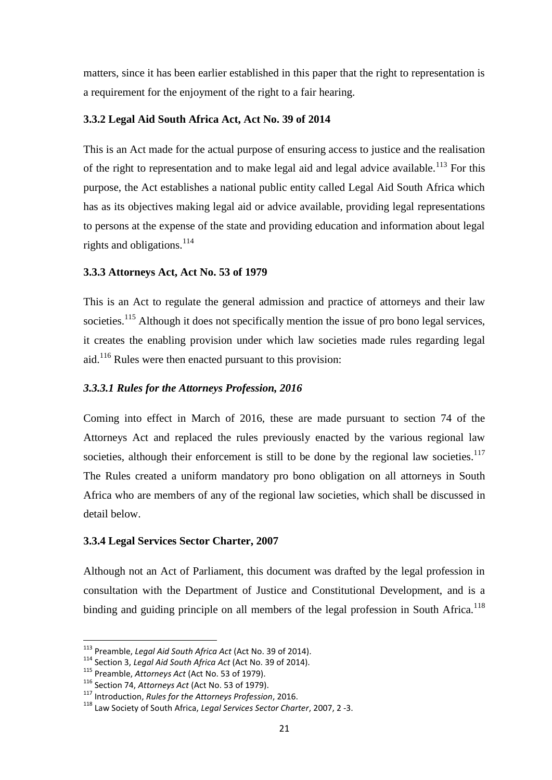matters, since it has been earlier established in this paper that the right to representation is a requirement for the enjoyment of the right to a fair hearing.

## <span id="page-27-0"></span>**3.3.2 Legal Aid South Africa Act, Act No. 39 of 2014**

This is an Act made for the actual purpose of ensuring access to justice and the realisation of the right to representation and to make legal aid and legal advice available.<sup>113</sup> For this purpose, the Act establishes a national public entity called Legal Aid South Africa which has as its objectives making legal aid or advice available, providing legal representations to persons at the expense of the state and providing education and information about legal rights and obligations.<sup>114</sup>

## <span id="page-27-1"></span>**3.3.3 Attorneys Act, Act No. 53 of 1979**

This is an Act to regulate the general admission and practice of attorneys and their law societies.<sup>115</sup> Although it does not specifically mention the issue of pro bono legal services, it creates the enabling provision under which law societies made rules regarding legal aid.<sup>116</sup> Rules were then enacted pursuant to this provision:

## *3.3.3.1 Rules for the Attorneys Profession, 2016*

Coming into effect in March of 2016, these are made pursuant to section 74 of the Attorneys Act and replaced the rules previously enacted by the various regional law societies, although their enforcement is still to be done by the regional law societies.<sup>117</sup> The Rules created a uniform mandatory pro bono obligation on all attorneys in South Africa who are members of any of the regional law societies, which shall be discussed in detail below.

## <span id="page-27-2"></span>**3.3.4 Legal Services Sector Charter, 2007**

Although not an Act of Parliament, this document was drafted by the legal profession in consultation with the Department of Justice and Constitutional Development, and is a binding and guiding principle on all members of the legal profession in South Africa.<sup>118</sup>

<sup>113</sup> Preamble, *Legal Aid South Africa Act* (Act No. 39 of 2014).

<sup>114</sup> Section 3, *Legal Aid South Africa Act* (Act No. 39 of 2014).

<sup>115</sup> Preamble, *Attorneys Act* (Act No. 53 of 1979).

<sup>116</sup> Section 74, *Attorneys Act* (Act No. 53 of 1979).

<sup>117</sup> Introduction, *Rules for the Attorneys Profession*, 2016.

<sup>118</sup> Law Society of South Africa, *Legal Services Sector Charter*, 2007, 2 -3.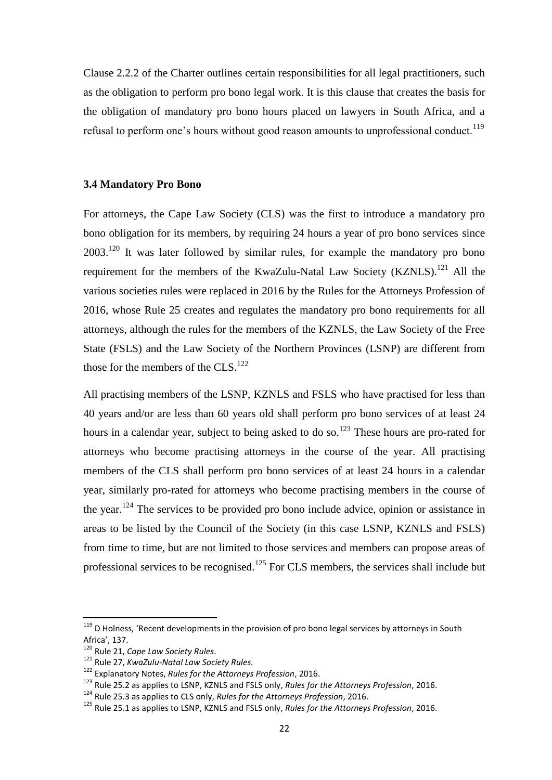Clause 2.2.2 of the Charter outlines certain responsibilities for all legal practitioners, such as the obligation to perform pro bono legal work. It is this clause that creates the basis for the obligation of mandatory pro bono hours placed on lawyers in South Africa, and a refusal to perform one's hours without good reason amounts to unprofessional conduct.<sup>119</sup>

#### <span id="page-28-0"></span>**3.4 Mandatory Pro Bono**

For attorneys, the Cape Law Society (CLS) was the first to introduce a mandatory pro bono obligation for its members, by requiring 24 hours a year of pro bono services since  $2003$ <sup>120</sup> It was later followed by similar rules, for example the mandatory pro bono requirement for the members of the KwaZulu-Natal Law Society (KZNLS).<sup>121</sup> All the various societies rules were replaced in 2016 by the Rules for the Attorneys Profession of 2016, whose Rule 25 creates and regulates the mandatory pro bono requirements for all attorneys, although the rules for the members of the KZNLS, the Law Society of the Free State (FSLS) and the Law Society of the Northern Provinces (LSNP) are different from those for the members of the  $CLS$ <sup>122</sup>

All practising members of the LSNP, KZNLS and FSLS who have practised for less than 40 years and/or are less than 60 years old shall perform pro bono services of at least 24 hours in a calendar year, subject to being asked to do so.<sup>123</sup> These hours are pro-rated for attorneys who become practising attorneys in the course of the year. All practising members of the CLS shall perform pro bono services of at least 24 hours in a calendar year, similarly pro-rated for attorneys who become practising members in the course of the year.<sup>124</sup> The services to be provided pro bono include advice, opinion or assistance in areas to be listed by the Council of the Society (in this case LSNP, KZNLS and FSLS) from time to time, but are not limited to those services and members can propose areas of professional services to be recognised.<sup>125</sup> For CLS members, the services shall include but

 $119$  D Holness, 'Recent developments in the provision of pro bono legal services by attorneys in South Africa', 137.

<sup>120</sup> Rule 21, *Cape Law Society Rules*.

<sup>121</sup> Rule 27, *KwaZulu-Natal Law Society Rules.*

<sup>122</sup> Explanatory Notes, *Rules for the Attorneys Profession*, 2016.

<sup>123</sup> Rule 25.2 as applies to LSNP, KZNLS and FSLS only, *Rules for the Attorneys Profession*, 2016.

<sup>124</sup> Rule 25.3 as applies to CLS only, *Rules for the Attorneys Profession*, 2016.

<sup>125</sup> Rule 25.1 as applies to LSNP, KZNLS and FSLS only, *Rules for the Attorneys Profession*, 2016.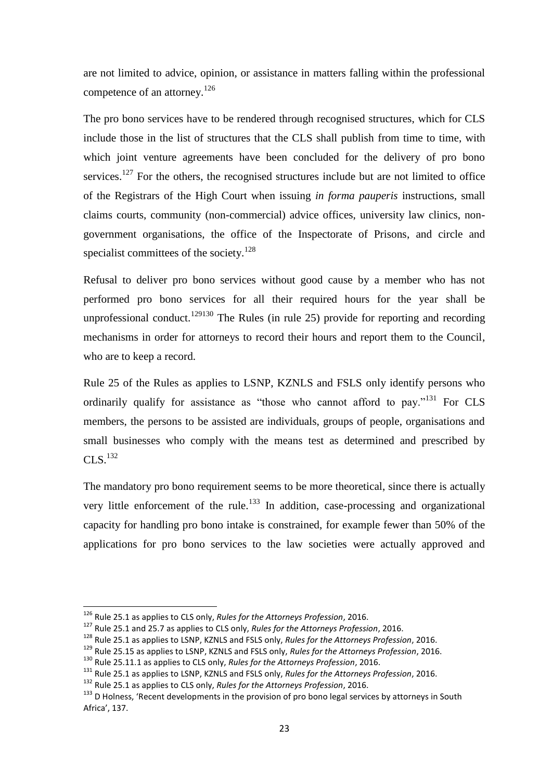are not limited to advice, opinion, or assistance in matters falling within the professional competence of an attorney.<sup>126</sup>

The pro bono services have to be rendered through recognised structures, which for CLS include those in the list of structures that the CLS shall publish from time to time, with which joint venture agreements have been concluded for the delivery of pro bono services.<sup>127</sup> For the others, the recognised structures include but are not limited to office of the Registrars of the High Court when issuing *in forma pauperis* instructions, small claims courts, community (non-commercial) advice offices, university law clinics, nongovernment organisations, the office of the Inspectorate of Prisons, and circle and specialist committees of the society.<sup>128</sup>

Refusal to deliver pro bono services without good cause by a member who has not performed pro bono services for all their required hours for the year shall be unprofessional conduct.<sup>129130</sup> The Rules (in rule 25) provide for reporting and recording mechanisms in order for attorneys to record their hours and report them to the Council, who are to keep a record.

Rule 25 of the Rules as applies to LSNP, KZNLS and FSLS only identify persons who ordinarily qualify for assistance as "those who cannot afford to pay."<sup>131</sup> For CLS members, the persons to be assisted are individuals, groups of people, organisations and small businesses who comply with the means test as determined and prescribed by  $CLS.<sup>132</sup>$ 

The mandatory pro bono requirement seems to be more theoretical, since there is actually very little enforcement of the rule.<sup>133</sup> In addition, case-processing and organizational capacity for handling pro bono intake is constrained, for example fewer than 50% of the applications for pro bono services to the law societies were actually approved and

1

- <sup>129</sup> Rule 25.15 as applies to LSNP, KZNLS and FSLS only, *Rules for the Attorneys Profession*, 2016.
- <sup>130</sup> Rule 25.11.1 as applies to CLS only, *Rules for the Attorneys Profession*, 2016.
- <sup>131</sup> Rule 25.1 as applies to LSNP, KZNLS and FSLS only, *Rules for the Attorneys Profession*, 2016.
- <sup>132</sup> Rule 25.1 as applies to CLS only, *Rules for the Attorneys Profession*, 2016.

<sup>126</sup> Rule 25.1 as applies to CLS only, *Rules for the Attorneys Profession*, 2016.

<sup>127</sup> Rule 25.1 and 25.7 as applies to CLS only, *Rules for the Attorneys Profession*, 2016.

<sup>128</sup> Rule 25.1 as applies to LSNP, KZNLS and FSLS only, *Rules for the Attorneys Profession*, 2016.

<sup>&</sup>lt;sup>133</sup> D Holness, 'Recent developments in the provision of pro bono legal services by attorneys in South Africa', 137.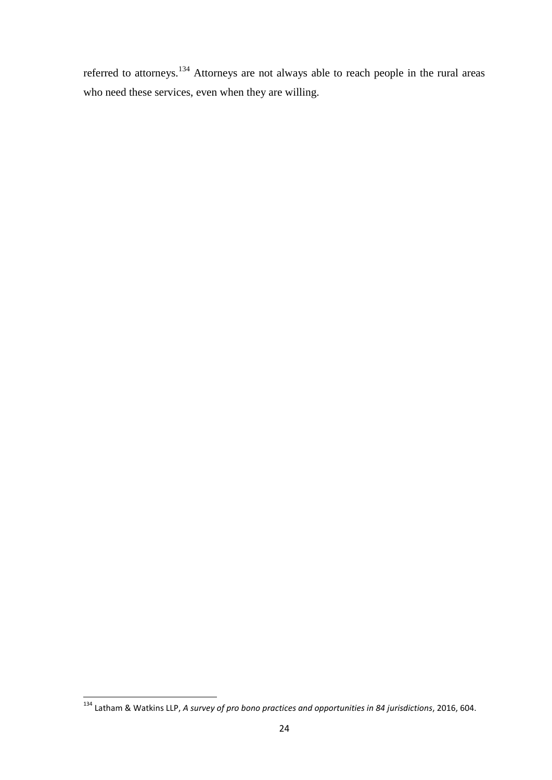referred to attorneys.<sup>134</sup> Attorneys are not always able to reach people in the rural areas who need these services, even when they are willing.

**<sup>.</sup>** <sup>134</sup> Latham & Watkins LLP, *A survey of pro bono practices and opportunities in 84 jurisdictions*, 2016, 604.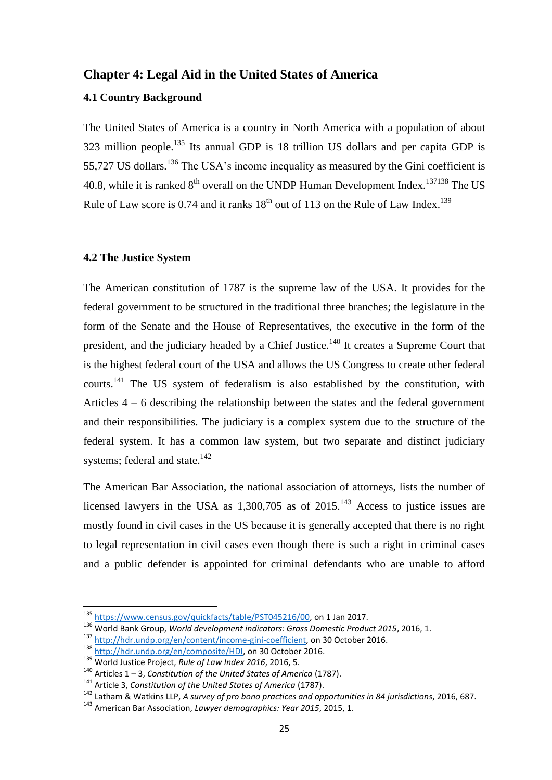## <span id="page-31-0"></span>**Chapter 4: Legal Aid in the United States of America**

## <span id="page-31-1"></span>**4.1 Country Background**

The United States of America is a country in North America with a population of about 323 million people.<sup>135</sup> Its annual GDP is 18 trillion US dollars and per capita GDP is 55,727 US dollars.<sup>136</sup> The USA's income inequality as measured by the Gini coefficient is 40.8, while it is ranked  $8<sup>th</sup>$  overall on the UNDP Human Development Index.<sup>137138</sup> The US Rule of Law score is  $0.74$  and it ranks  $18<sup>th</sup>$  out of 113 on the Rule of Law Index.<sup>139</sup>

## <span id="page-31-2"></span>**4.2 The Justice System**

The American constitution of 1787 is the supreme law of the USA. It provides for the federal government to be structured in the traditional three branches; the legislature in the form of the Senate and the House of Representatives, the executive in the form of the president, and the judiciary headed by a Chief Justice.<sup>140</sup> It creates a Supreme Court that is the highest federal court of the USA and allows the US Congress to create other federal courts.<sup>141</sup> The US system of federalism is also established by the constitution, with Articles  $4 - 6$  describing the relationship between the states and the federal government and their responsibilities. The judiciary is a complex system due to the structure of the federal system. It has a common law system, but two separate and distinct judiciary systems; federal and state. $142$ 

The American Bar Association, the national association of attorneys, lists the number of licensed lawyers in the USA as  $1,300,705$  as of  $2015$ .<sup>143</sup> Access to justice issues are mostly found in civil cases in the US because it is generally accepted that there is no right to legal representation in civil cases even though there is such a right in criminal cases and a public defender is appointed for criminal defendants who are unable to afford

1

<sup>&</sup>lt;sup>135</sup> [https://www.census.gov/quickfacts/table/PST045216/00,](https://www.census.gov/quickfacts/table/PST045216/00) on 1 Jan 2017.

<sup>136</sup> World Bank Group, *World development indicators: Gross Domestic Product 2015*, 2016, 1.

<sup>137</sup> [http://hdr.undp.org/en/content/income-gini-coefficient,](http://hdr.undp.org/en/content/income-gini-coefficient) on 30 October 2016.

<sup>138</sup> [http://hdr.undp.org/en/composite/HDI,](http://hdr.undp.org/en/composite/HDI) on 30 October 2016.

<sup>139</sup> World Justice Project, *Rule of Law Index 2016*, 2016, 5.

<sup>140</sup> Articles 1 – 3, *Constitution of the United States of America* (1787).

<sup>141</sup> Article 3, *Constitution of the United States of America* (1787).

<sup>142</sup> Latham & Watkins LLP, *A survey of pro bono practices and opportunities in 84 jurisdictions*, 2016, 687.

<sup>143</sup> American Bar Association, *Lawyer demographics: Year 2015*, 2015, 1.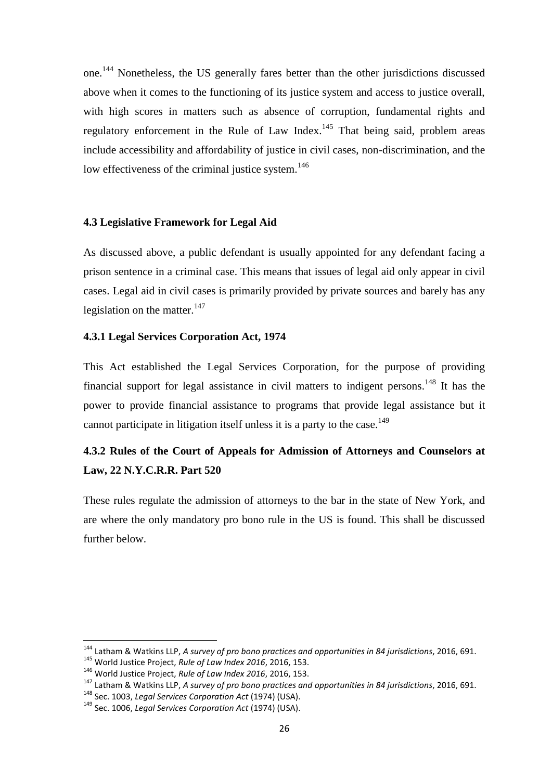one.<sup>144</sup> Nonetheless, the US generally fares better than the other jurisdictions discussed above when it comes to the functioning of its justice system and access to justice overall, with high scores in matters such as absence of corruption, fundamental rights and regulatory enforcement in the Rule of Law Index.<sup>145</sup> That being said, problem areas include accessibility and affordability of justice in civil cases, non-discrimination, and the low effectiveness of the criminal justice system.<sup>146</sup>

#### <span id="page-32-0"></span>**4.3 Legislative Framework for Legal Aid**

As discussed above, a public defendant is usually appointed for any defendant facing a prison sentence in a criminal case. This means that issues of legal aid only appear in civil cases. Legal aid in civil cases is primarily provided by private sources and barely has any legislation on the matter. $147$ 

## <span id="page-32-1"></span>**4.3.1 Legal Services Corporation Act, 1974**

This Act established the Legal Services Corporation, for the purpose of providing financial support for legal assistance in civil matters to indigent persons.<sup>148</sup> It has the power to provide financial assistance to programs that provide legal assistance but it cannot participate in litigation itself unless it is a party to the case.<sup>149</sup>

# <span id="page-32-2"></span>**4.3.2 Rules of the Court of Appeals for Admission of Attorneys and Counselors at Law, 22 N.Y.C.R.R. Part 520**

These rules regulate the admission of attorneys to the bar in the state of New York, and are where the only mandatory pro bono rule in the US is found. This shall be discussed further below.

<sup>144</sup> Latham & Watkins LLP, *A survey of pro bono practices and opportunities in 84 jurisdictions*, 2016, 691. <sup>145</sup> World Justice Project, *Rule of Law Index 2016*, 2016, 153.

<sup>146</sup> World Justice Project, *Rule of Law Index 2016*, 2016, 153.

<sup>147</sup> Latham & Watkins LLP, *A survey of pro bono practices and opportunities in 84 jurisdictions*, 2016, 691.

<sup>148</sup> Sec. 1003, *Legal Services Corporation Act* (1974) (USA).

<sup>149</sup> Sec. 1006, *Legal Services Corporation Act* (1974) (USA).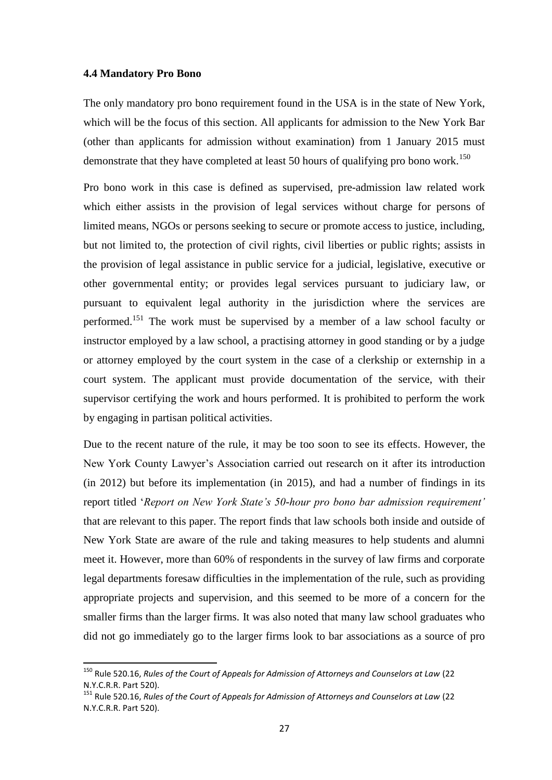#### <span id="page-33-0"></span>**4.4 Mandatory Pro Bono**

**.** 

The only mandatory pro bono requirement found in the USA is in the state of New York, which will be the focus of this section. All applicants for admission to the New York Bar (other than applicants for admission without examination) from 1 January 2015 must demonstrate that they have completed at least 50 hours of qualifying pro bono work.<sup>150</sup>

Pro bono work in this case is defined as supervised, pre-admission law related work which either assists in the provision of legal services without charge for persons of limited means, NGOs or persons seeking to secure or promote access to justice, including, but not limited to, the protection of civil rights, civil liberties or public rights; assists in the provision of legal assistance in public service for a judicial, legislative, executive or other governmental entity; or provides legal services pursuant to judiciary law, or pursuant to equivalent legal authority in the jurisdiction where the services are performed.<sup>151</sup> The work must be supervised by a member of a law school faculty or instructor employed by a law school, a practising attorney in good standing or by a judge or attorney employed by the court system in the case of a clerkship or externship in a court system. The applicant must provide documentation of the service, with their supervisor certifying the work and hours performed. It is prohibited to perform the work by engaging in partisan political activities.

Due to the recent nature of the rule, it may be too soon to see its effects. However, the New York County Lawyer"s Association carried out research on it after its introduction (in 2012) but before its implementation (in 2015), and had a number of findings in its report titled "*Report on New York State's 50-hour pro bono bar admission requirement'* that are relevant to this paper. The report finds that law schools both inside and outside of New York State are aware of the rule and taking measures to help students and alumni meet it. However, more than 60% of respondents in the survey of law firms and corporate legal departments foresaw difficulties in the implementation of the rule, such as providing appropriate projects and supervision, and this seemed to be more of a concern for the smaller firms than the larger firms. It was also noted that many law school graduates who did not go immediately go to the larger firms look to bar associations as a source of pro

<sup>150</sup> Rule 520.16, *Rules of the Court of Appeals for Admission of Attorneys and Counselors at Law* (22 N.Y.C.R.R. Part 520).

<sup>151</sup> Rule 520.16, *Rules of the Court of Appeals for Admission of Attorneys and Counselors at Law* (22 N.Y.C.R.R. Part 520).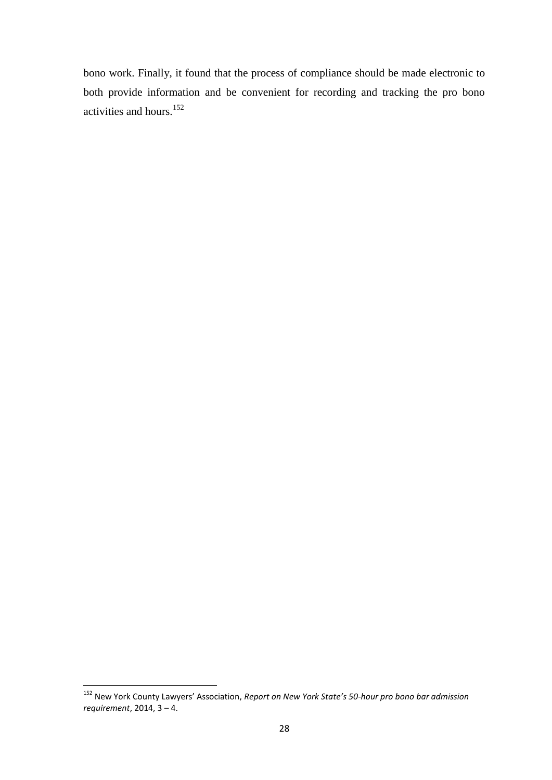bono work. Finally, it found that the process of compliance should be made electronic to both provide information and be convenient for recording and tracking the pro bono activities and hours.<sup>152</sup>

<sup>152</sup> New York County Lawyers' Association, *Report on New York State's 50-hour pro bono bar admission requirement*, 2014, 3 – 4.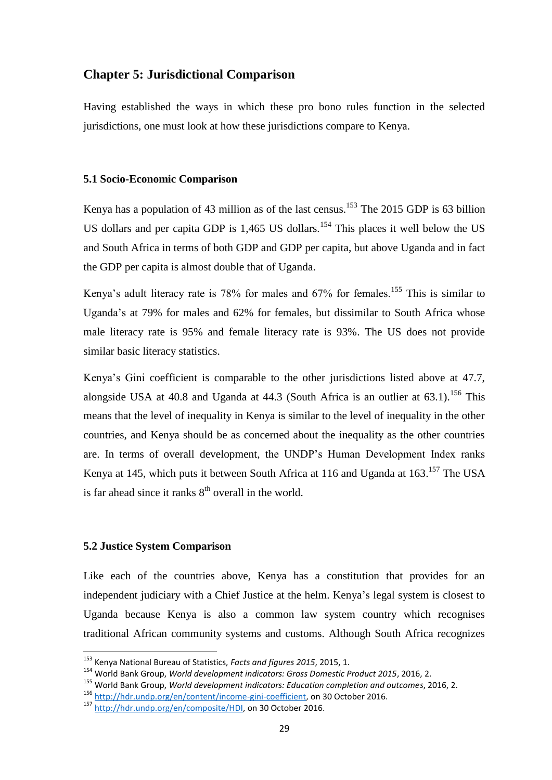## <span id="page-35-0"></span>**Chapter 5: Jurisdictional Comparison**

Having established the ways in which these pro bono rules function in the selected jurisdictions, one must look at how these jurisdictions compare to Kenya.

### <span id="page-35-1"></span>**5.1 Socio-Economic Comparison**

Kenya has a population of 43 million as of the last census.<sup>153</sup> The 2015 GDP is 63 billion US dollars and per capita GDP is 1,465 US dollars.<sup>154</sup> This places it well below the US and South Africa in terms of both GDP and GDP per capita, but above Uganda and in fact the GDP per capita is almost double that of Uganda.

Kenya's adult literacy rate is 78% for males and  $67\%$  for females.<sup>155</sup> This is similar to Uganda"s at 79% for males and 62% for females, but dissimilar to South Africa whose male literacy rate is 95% and female literacy rate is 93%. The US does not provide similar basic literacy statistics.

Kenya"s Gini coefficient is comparable to the other jurisdictions listed above at 47.7, alongside USA at 40.8 and Uganda at 44.3 (South Africa is an outlier at  $63.1$ ).<sup>156</sup> This means that the level of inequality in Kenya is similar to the level of inequality in the other countries, and Kenya should be as concerned about the inequality as the other countries are. In terms of overall development, the UNDP"s Human Development Index ranks Kenya at 145, which puts it between South Africa at 116 and Uganda at 163.<sup>157</sup> The USA is far ahead since it ranks  $8<sup>th</sup>$  overall in the world.

#### <span id="page-35-2"></span>**5.2 Justice System Comparison**

 $\overline{a}$ 

Like each of the countries above, Kenya has a constitution that provides for an independent judiciary with a Chief Justice at the helm. Kenya"s legal system is closest to Uganda because Kenya is also a common law system country which recognises traditional African community systems and customs. Although South Africa recognizes

<sup>153</sup> Kenya National Bureau of Statistics, *Facts and figures 2015*, 2015, 1.

<sup>154</sup> World Bank Group, *World development indicators: Gross Domestic Product 2015*, 2016, 2.

<sup>155</sup> World Bank Group, *World development indicators: Education completion and outcomes*, 2016, 2. <sup>156</sup> [http://hdr.undp.org/en/content/income-gini-coefficient,](http://hdr.undp.org/en/content/income-gini-coefficient) on 30 October 2016.

<sup>157</sup> [http://hdr.undp.org/en/composite/HDI,](http://hdr.undp.org/en/composite/HDI) on 30 October 2016.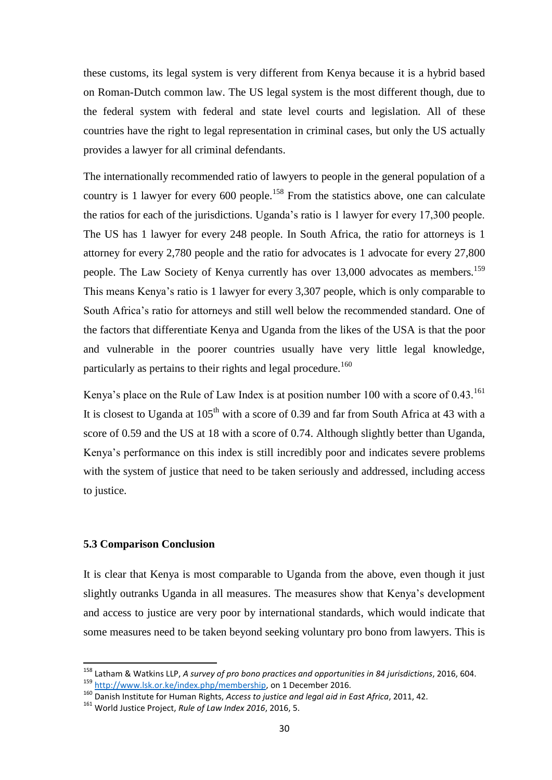these customs, its legal system is very different from Kenya because it is a hybrid based on Roman-Dutch common law. The US legal system is the most different though, due to the federal system with federal and state level courts and legislation. All of these countries have the right to legal representation in criminal cases, but only the US actually provides a lawyer for all criminal defendants.

The internationally recommended ratio of lawyers to people in the general population of a country is 1 lawyer for every  $600$  people.<sup>158</sup> From the statistics above, one can calculate the ratios for each of the jurisdictions. Uganda"s ratio is 1 lawyer for every 17,300 people. The US has 1 lawyer for every 248 people. In South Africa, the ratio for attorneys is 1 attorney for every 2,780 people and the ratio for advocates is 1 advocate for every 27,800 people. The Law Society of Kenya currently has over 13,000 advocates as members.<sup>159</sup> This means Kenya"s ratio is 1 lawyer for every 3,307 people, which is only comparable to South Africa"s ratio for attorneys and still well below the recommended standard. One of the factors that differentiate Kenya and Uganda from the likes of the USA is that the poor and vulnerable in the poorer countries usually have very little legal knowledge, particularly as pertains to their rights and legal procedure.<sup>160</sup>

Kenya's place on the Rule of Law Index is at position number 100 with a score of 0.43.<sup>161</sup> It is closest to Uganda at  $105<sup>th</sup>$  with a score of 0.39 and far from South Africa at 43 with a score of 0.59 and the US at 18 with a score of 0.74. Although slightly better than Uganda, Kenya"s performance on this index is still incredibly poor and indicates severe problems with the system of justice that need to be taken seriously and addressed, including access to justice.

## <span id="page-36-0"></span>**5.3 Comparison Conclusion**

**.** 

It is clear that Kenya is most comparable to Uganda from the above, even though it just slightly outranks Uganda in all measures. The measures show that Kenya"s development and access to justice are very poor by international standards, which would indicate that some measures need to be taken beyond seeking voluntary pro bono from lawyers. This is

<sup>158</sup> Latham & Watkins LLP, *A survey of pro bono practices and opportunities in 84 jurisdictions*, 2016, 604. 159 [http://www.lsk.or.ke/index.php/membership,](http://www.lsk.or.ke/index.php/membership) on 1 December 2016.

<sup>160</sup> Danish Institute for Human Rights, *Access to justice and legal aid in East Africa*, 2011, 42.

<sup>161</sup> World Justice Project, *Rule of Law Index 2016*, 2016, 5.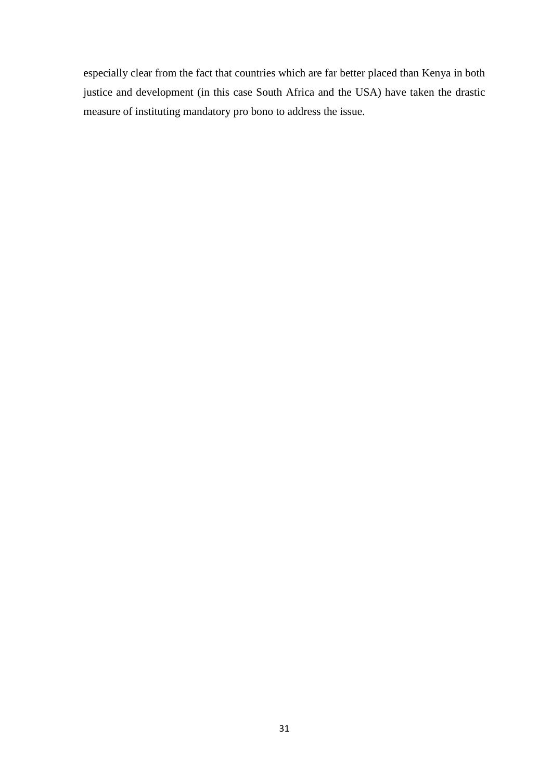especially clear from the fact that countries which are far better placed than Kenya in both justice and development (in this case South Africa and the USA) have taken the drastic measure of instituting mandatory pro bono to address the issue.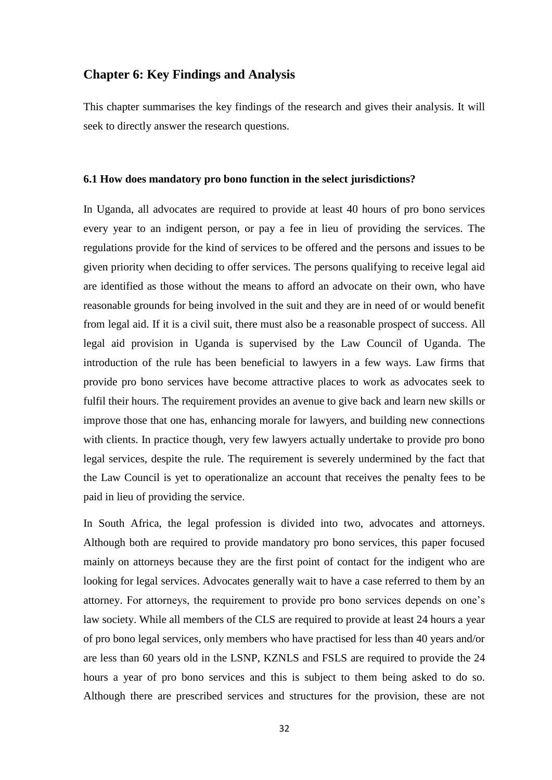## <span id="page-38-0"></span>**Chapter 6: Key Findings and Analysis**

This chapter summarises the key findings of the research and gives their analysis. It will seek to directly answer the research questions.

#### <span id="page-38-1"></span>**6.1 How does mandatory pro bono function in the select jurisdictions?**

In Uganda, all advocates are required to provide at least 40 hours of pro bono services every year to an indigent person, or pay a fee in lieu of providing the services. The regulations provide for the kind of services to be offered and the persons and issues to be given priority when deciding to offer services. The persons qualifying to receive legal aid are identified as those without the means to afford an advocate on their own, who have reasonable grounds for being involved in the suit and they are in need of or would benefit from legal aid. If it is a civil suit, there must also be a reasonable prospect of success. All legal aid provision in Uganda is supervised by the Law Council of Uganda. The introduction of the rule has been beneficial to lawyers in a few ways. Law firms that provide pro bono services have become attractive places to work as advocates seek to fulfil their hours. The requirement provides an avenue to give back and learn new skills or improve those that one has, enhancing morale for lawyers, and building new connections with clients. In practice though, very few lawyers actually undertake to provide pro bono legal services, despite the rule. The requirement is severely undermined by the fact that the Law Council is yet to operationalize an account that receives the penalty fees to be paid in lieu of providing the service.

In South Africa, the legal profession is divided into two, advocates and attorneys. Although both are required to provide mandatory pro bono services, this paper focused mainly on attorneys because they are the first point of contact for the indigent who are looking for legal services. Advocates generally wait to have a case referred to them by an attorney. For attorneys, the requirement to provide pro bono services depends on one"s law society. While all members of the CLS are required to provide at least 24 hours a year of pro bono legal services, only members who have practised for less than 40 years and/or are less than 60 years old in the LSNP, KZNLS and FSLS are required to provide the 24 hours a year of pro bono services and this is subject to them being asked to do so. Although there are prescribed services and structures for the provision, these are not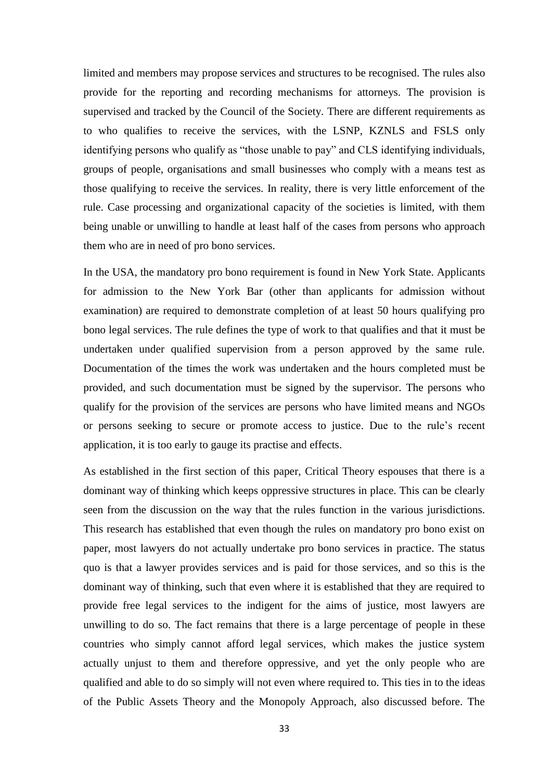limited and members may propose services and structures to be recognised. The rules also provide for the reporting and recording mechanisms for attorneys. The provision is supervised and tracked by the Council of the Society. There are different requirements as to who qualifies to receive the services, with the LSNP, KZNLS and FSLS only identifying persons who qualify as "those unable to pay" and CLS identifying individuals, groups of people, organisations and small businesses who comply with a means test as those qualifying to receive the services. In reality, there is very little enforcement of the rule. Case processing and organizational capacity of the societies is limited, with them being unable or unwilling to handle at least half of the cases from persons who approach them who are in need of pro bono services.

In the USA, the mandatory pro bono requirement is found in New York State. Applicants for admission to the New York Bar (other than applicants for admission without examination) are required to demonstrate completion of at least 50 hours qualifying pro bono legal services. The rule defines the type of work to that qualifies and that it must be undertaken under qualified supervision from a person approved by the same rule. Documentation of the times the work was undertaken and the hours completed must be provided, and such documentation must be signed by the supervisor. The persons who qualify for the provision of the services are persons who have limited means and NGOs or persons seeking to secure or promote access to justice. Due to the rule"s recent application, it is too early to gauge its practise and effects.

As established in the first section of this paper, Critical Theory espouses that there is a dominant way of thinking which keeps oppressive structures in place. This can be clearly seen from the discussion on the way that the rules function in the various jurisdictions. This research has established that even though the rules on mandatory pro bono exist on paper, most lawyers do not actually undertake pro bono services in practice. The status quo is that a lawyer provides services and is paid for those services, and so this is the dominant way of thinking, such that even where it is established that they are required to provide free legal services to the indigent for the aims of justice, most lawyers are unwilling to do so. The fact remains that there is a large percentage of people in these countries who simply cannot afford legal services, which makes the justice system actually unjust to them and therefore oppressive, and yet the only people who are qualified and able to do so simply will not even where required to. This ties in to the ideas of the Public Assets Theory and the Monopoly Approach, also discussed before. The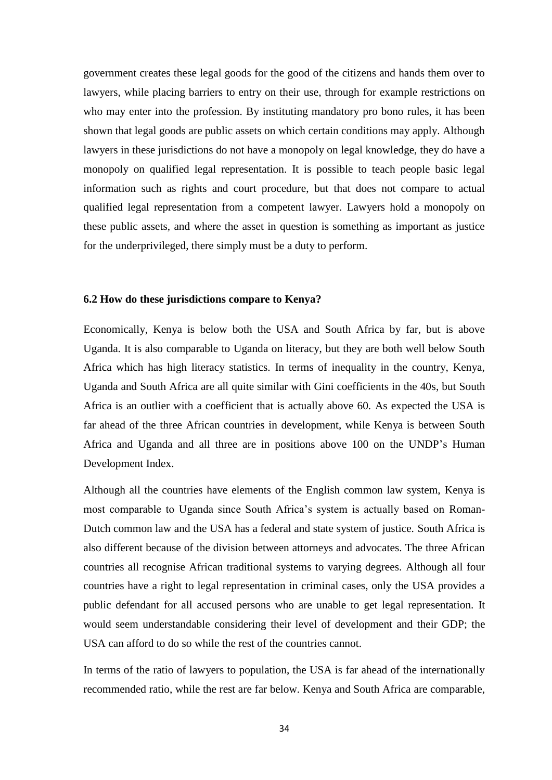government creates these legal goods for the good of the citizens and hands them over to lawyers, while placing barriers to entry on their use, through for example restrictions on who may enter into the profession. By instituting mandatory pro bono rules, it has been shown that legal goods are public assets on which certain conditions may apply. Although lawyers in these jurisdictions do not have a monopoly on legal knowledge, they do have a monopoly on qualified legal representation. It is possible to teach people basic legal information such as rights and court procedure, but that does not compare to actual qualified legal representation from a competent lawyer. Lawyers hold a monopoly on these public assets, and where the asset in question is something as important as justice for the underprivileged, there simply must be a duty to perform.

#### <span id="page-40-0"></span>**6.2 How do these jurisdictions compare to Kenya?**

Economically, Kenya is below both the USA and South Africa by far, but is above Uganda. It is also comparable to Uganda on literacy, but they are both well below South Africa which has high literacy statistics. In terms of inequality in the country, Kenya, Uganda and South Africa are all quite similar with Gini coefficients in the 40s, but South Africa is an outlier with a coefficient that is actually above 60. As expected the USA is far ahead of the three African countries in development, while Kenya is between South Africa and Uganda and all three are in positions above 100 on the UNDP"s Human Development Index.

Although all the countries have elements of the English common law system, Kenya is most comparable to Uganda since South Africa"s system is actually based on Roman-Dutch common law and the USA has a federal and state system of justice. South Africa is also different because of the division between attorneys and advocates. The three African countries all recognise African traditional systems to varying degrees. Although all four countries have a right to legal representation in criminal cases, only the USA provides a public defendant for all accused persons who are unable to get legal representation. It would seem understandable considering their level of development and their GDP; the USA can afford to do so while the rest of the countries cannot.

In terms of the ratio of lawyers to population, the USA is far ahead of the internationally recommended ratio, while the rest are far below. Kenya and South Africa are comparable,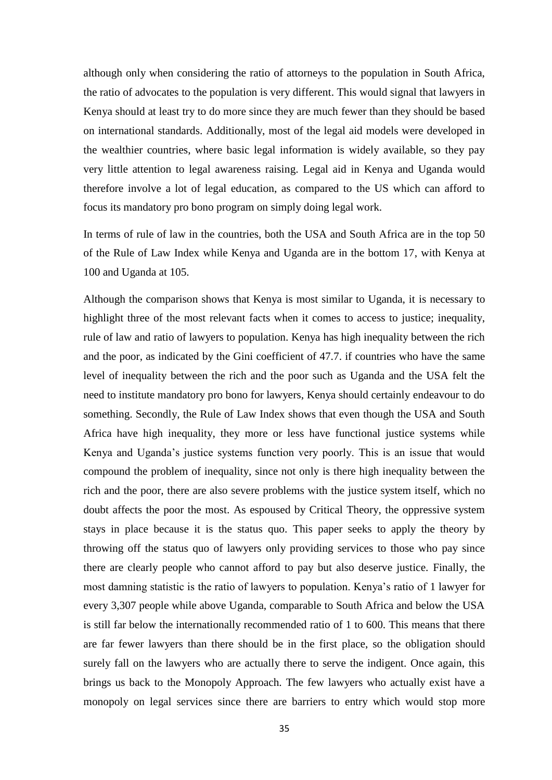although only when considering the ratio of attorneys to the population in South Africa, the ratio of advocates to the population is very different. This would signal that lawyers in Kenya should at least try to do more since they are much fewer than they should be based on international standards. Additionally, most of the legal aid models were developed in the wealthier countries, where basic legal information is widely available, so they pay very little attention to legal awareness raising. Legal aid in Kenya and Uganda would therefore involve a lot of legal education, as compared to the US which can afford to focus its mandatory pro bono program on simply doing legal work.

In terms of rule of law in the countries, both the USA and South Africa are in the top 50 of the Rule of Law Index while Kenya and Uganda are in the bottom 17, with Kenya at 100 and Uganda at 105.

Although the comparison shows that Kenya is most similar to Uganda, it is necessary to highlight three of the most relevant facts when it comes to access to justice; inequality, rule of law and ratio of lawyers to population. Kenya has high inequality between the rich and the poor, as indicated by the Gini coefficient of 47.7. if countries who have the same level of inequality between the rich and the poor such as Uganda and the USA felt the need to institute mandatory pro bono for lawyers, Kenya should certainly endeavour to do something. Secondly, the Rule of Law Index shows that even though the USA and South Africa have high inequality, they more or less have functional justice systems while Kenya and Uganda"s justice systems function very poorly. This is an issue that would compound the problem of inequality, since not only is there high inequality between the rich and the poor, there are also severe problems with the justice system itself, which no doubt affects the poor the most. As espoused by Critical Theory, the oppressive system stays in place because it is the status quo. This paper seeks to apply the theory by throwing off the status quo of lawyers only providing services to those who pay since there are clearly people who cannot afford to pay but also deserve justice. Finally, the most damning statistic is the ratio of lawyers to population. Kenya"s ratio of 1 lawyer for every 3,307 people while above Uganda, comparable to South Africa and below the USA is still far below the internationally recommended ratio of 1 to 600. This means that there are far fewer lawyers than there should be in the first place, so the obligation should surely fall on the lawyers who are actually there to serve the indigent. Once again, this brings us back to the Monopoly Approach. The few lawyers who actually exist have a monopoly on legal services since there are barriers to entry which would stop more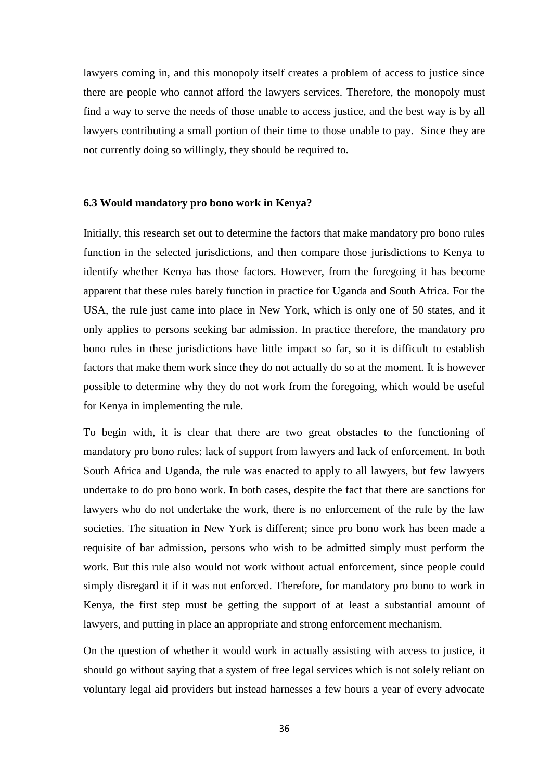lawyers coming in, and this monopoly itself creates a problem of access to justice since there are people who cannot afford the lawyers services. Therefore, the monopoly must find a way to serve the needs of those unable to access justice, and the best way is by all lawyers contributing a small portion of their time to those unable to pay. Since they are not currently doing so willingly, they should be required to.

#### <span id="page-42-0"></span>**6.3 Would mandatory pro bono work in Kenya?**

Initially, this research set out to determine the factors that make mandatory pro bono rules function in the selected jurisdictions, and then compare those jurisdictions to Kenya to identify whether Kenya has those factors. However, from the foregoing it has become apparent that these rules barely function in practice for Uganda and South Africa. For the USA, the rule just came into place in New York, which is only one of 50 states, and it only applies to persons seeking bar admission. In practice therefore, the mandatory pro bono rules in these jurisdictions have little impact so far, so it is difficult to establish factors that make them work since they do not actually do so at the moment. It is however possible to determine why they do not work from the foregoing, which would be useful for Kenya in implementing the rule.

To begin with, it is clear that there are two great obstacles to the functioning of mandatory pro bono rules: lack of support from lawyers and lack of enforcement. In both South Africa and Uganda, the rule was enacted to apply to all lawyers, but few lawyers undertake to do pro bono work. In both cases, despite the fact that there are sanctions for lawyers who do not undertake the work, there is no enforcement of the rule by the law societies. The situation in New York is different; since pro bono work has been made a requisite of bar admission, persons who wish to be admitted simply must perform the work. But this rule also would not work without actual enforcement, since people could simply disregard it if it was not enforced. Therefore, for mandatory pro bono to work in Kenya, the first step must be getting the support of at least a substantial amount of lawyers, and putting in place an appropriate and strong enforcement mechanism.

On the question of whether it would work in actually assisting with access to justice, it should go without saying that a system of free legal services which is not solely reliant on voluntary legal aid providers but instead harnesses a few hours a year of every advocate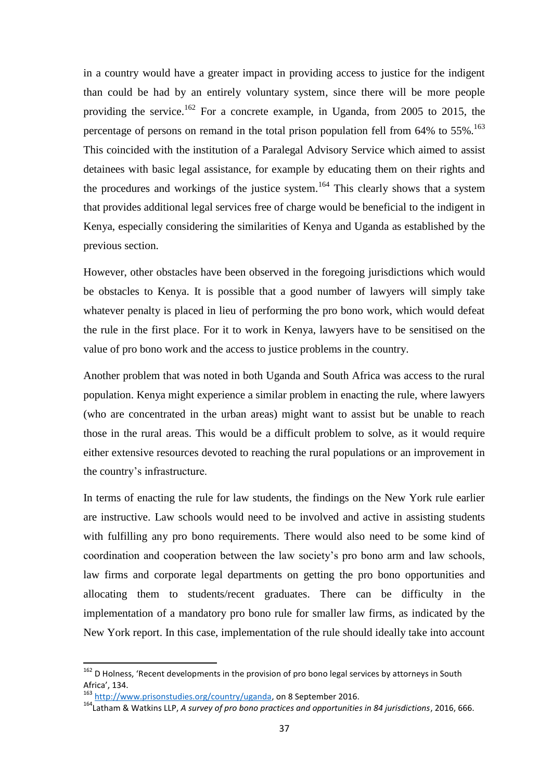in a country would have a greater impact in providing access to justice for the indigent than could be had by an entirely voluntary system, since there will be more people providing the service.<sup>162</sup> For a concrete example, in Uganda, from 2005 to 2015, the percentage of persons on remand in the total prison population fell from 64% to 55%.<sup>163</sup> This coincided with the institution of a Paralegal Advisory Service which aimed to assist detainees with basic legal assistance, for example by educating them on their rights and the procedures and workings of the justice system.<sup>164</sup> This clearly shows that a system that provides additional legal services free of charge would be beneficial to the indigent in Kenya, especially considering the similarities of Kenya and Uganda as established by the previous section.

However, other obstacles have been observed in the foregoing jurisdictions which would be obstacles to Kenya. It is possible that a good number of lawyers will simply take whatever penalty is placed in lieu of performing the pro bono work, which would defeat the rule in the first place. For it to work in Kenya, lawyers have to be sensitised on the value of pro bono work and the access to justice problems in the country.

Another problem that was noted in both Uganda and South Africa was access to the rural population. Kenya might experience a similar problem in enacting the rule, where lawyers (who are concentrated in the urban areas) might want to assist but be unable to reach those in the rural areas. This would be a difficult problem to solve, as it would require either extensive resources devoted to reaching the rural populations or an improvement in the country"s infrastructure.

In terms of enacting the rule for law students, the findings on the New York rule earlier are instructive. Law schools would need to be involved and active in assisting students with fulfilling any pro bono requirements. There would also need to be some kind of coordination and cooperation between the law society"s pro bono arm and law schools, law firms and corporate legal departments on getting the pro bono opportunities and allocating them to students/recent graduates. There can be difficulty in the implementation of a mandatory pro bono rule for smaller law firms, as indicated by the New York report. In this case, implementation of the rule should ideally take into account

<sup>&</sup>lt;sup>162</sup> D Holness, 'Recent developments in the provision of pro bono legal services by attorneys in South Africa', 134.

<sup>163</sup> [http://www.prisonstudies.org/country/uganda,](http://www.prisonstudies.org/country/uganda) on 8 September 2016.

<sup>164</sup>Latham & Watkins LLP, *A survey of pro bono practices and opportunities in 84 jurisdictions*, 2016, 666.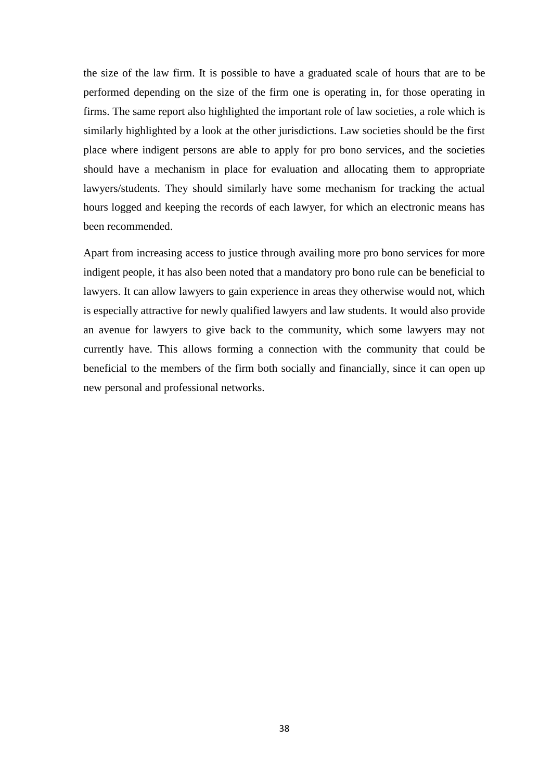the size of the law firm. It is possible to have a graduated scale of hours that are to be performed depending on the size of the firm one is operating in, for those operating in firms. The same report also highlighted the important role of law societies, a role which is similarly highlighted by a look at the other jurisdictions. Law societies should be the first place where indigent persons are able to apply for pro bono services, and the societies should have a mechanism in place for evaluation and allocating them to appropriate lawyers/students. They should similarly have some mechanism for tracking the actual hours logged and keeping the records of each lawyer, for which an electronic means has been recommended.

Apart from increasing access to justice through availing more pro bono services for more indigent people, it has also been noted that a mandatory pro bono rule can be beneficial to lawyers. It can allow lawyers to gain experience in areas they otherwise would not, which is especially attractive for newly qualified lawyers and law students. It would also provide an avenue for lawyers to give back to the community, which some lawyers may not currently have. This allows forming a connection with the community that could be beneficial to the members of the firm both socially and financially, since it can open up new personal and professional networks.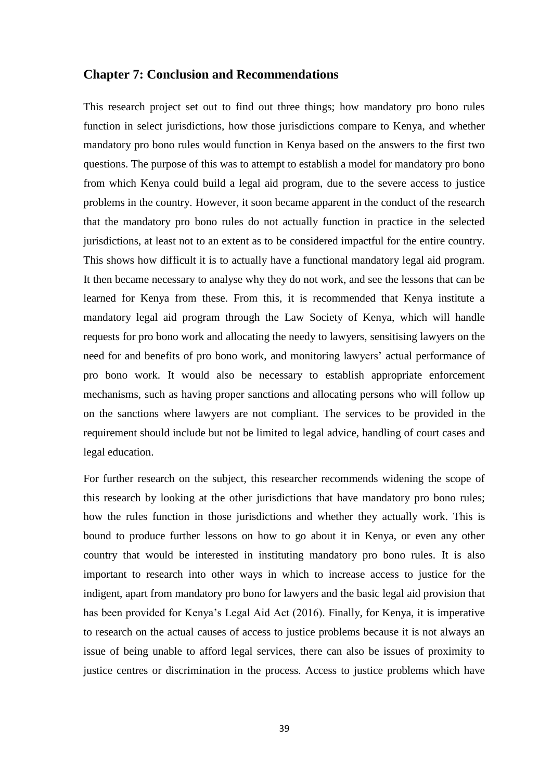### <span id="page-45-0"></span>**Chapter 7: Conclusion and Recommendations**

This research project set out to find out three things; how mandatory pro bono rules function in select jurisdictions, how those jurisdictions compare to Kenya, and whether mandatory pro bono rules would function in Kenya based on the answers to the first two questions. The purpose of this was to attempt to establish a model for mandatory pro bono from which Kenya could build a legal aid program, due to the severe access to justice problems in the country. However, it soon became apparent in the conduct of the research that the mandatory pro bono rules do not actually function in practice in the selected jurisdictions, at least not to an extent as to be considered impactful for the entire country. This shows how difficult it is to actually have a functional mandatory legal aid program. It then became necessary to analyse why they do not work, and see the lessons that can be learned for Kenya from these. From this, it is recommended that Kenya institute a mandatory legal aid program through the Law Society of Kenya, which will handle requests for pro bono work and allocating the needy to lawyers, sensitising lawyers on the need for and benefits of pro bono work, and monitoring lawyers' actual performance of pro bono work. It would also be necessary to establish appropriate enforcement mechanisms, such as having proper sanctions and allocating persons who will follow up on the sanctions where lawyers are not compliant. The services to be provided in the requirement should include but not be limited to legal advice, handling of court cases and legal education.

For further research on the subject, this researcher recommends widening the scope of this research by looking at the other jurisdictions that have mandatory pro bono rules; how the rules function in those jurisdictions and whether they actually work. This is bound to produce further lessons on how to go about it in Kenya, or even any other country that would be interested in instituting mandatory pro bono rules. It is also important to research into other ways in which to increase access to justice for the indigent, apart from mandatory pro bono for lawyers and the basic legal aid provision that has been provided for Kenya"s Legal Aid Act (2016). Finally, for Kenya, it is imperative to research on the actual causes of access to justice problems because it is not always an issue of being unable to afford legal services, there can also be issues of proximity to justice centres or discrimination in the process. Access to justice problems which have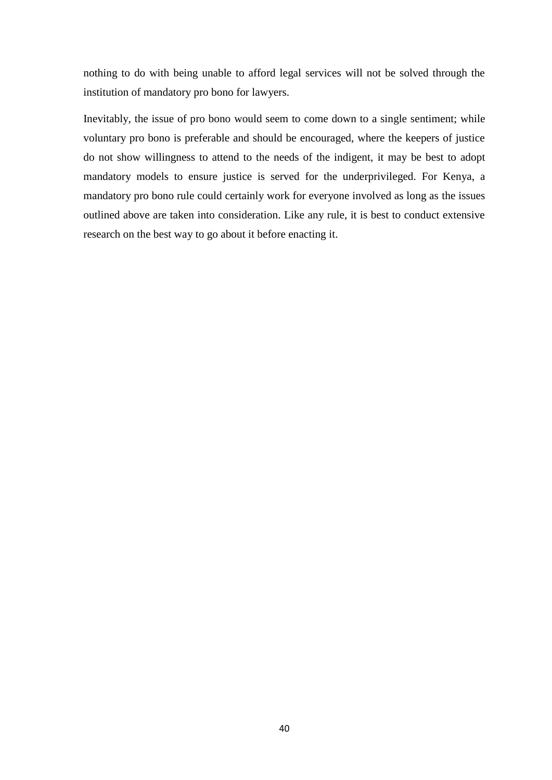nothing to do with being unable to afford legal services will not be solved through the institution of mandatory pro bono for lawyers.

Inevitably, the issue of pro bono would seem to come down to a single sentiment; while voluntary pro bono is preferable and should be encouraged, where the keepers of justice do not show willingness to attend to the needs of the indigent, it may be best to adopt mandatory models to ensure justice is served for the underprivileged. For Kenya, a mandatory pro bono rule could certainly work for everyone involved as long as the issues outlined above are taken into consideration. Like any rule, it is best to conduct extensive research on the best way to go about it before enacting it.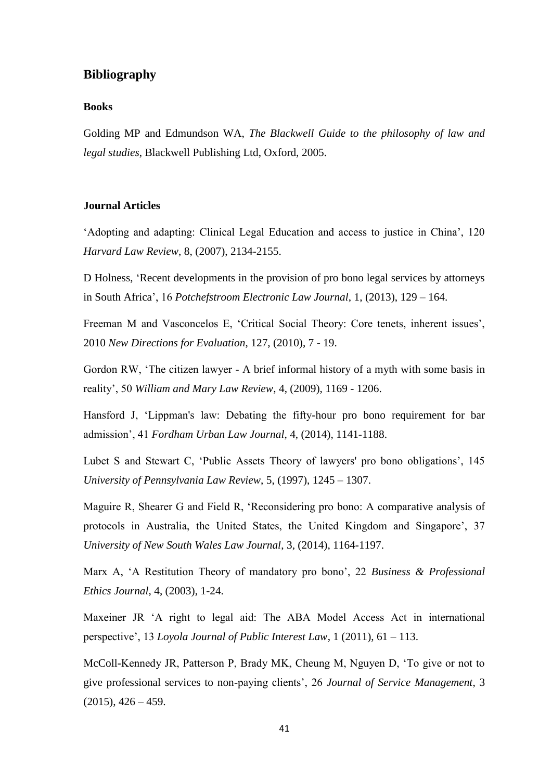## <span id="page-47-0"></span>**Bibliography**

#### **Books**

Golding MP and Edmundson WA, *The Blackwell Guide to the philosophy of law and legal studies*, Blackwell Publishing Ltd, Oxford, 2005.

### **Journal Articles**

"Adopting and adapting: Clinical Legal Education and access to justice in China", 120 *Harvard Law Review*, 8, (2007), 2134-2155.

D Holness, "Recent developments in the provision of pro bono legal services by attorneys in South Africa", 16 *Potchefstroom Electronic Law Journal*, 1, (2013), 129 – 164.

Freeman M and Vasconcelos E, "Critical Social Theory: Core tenets, inherent issues", 2010 *New Directions for Evaluation*, 127, (2010), 7 - 19.

Gordon RW, "The citizen lawyer - A brief informal history of a myth with some basis in reality", 50 *William and Mary Law Review*, 4, (2009), 1169 - 1206.

Hansford J, "Lippman's law: Debating the fifty-hour pro bono requirement for bar admission", 41 *Fordham Urban Law Journal*, 4, (2014), 1141-1188.

Lubet S and Stewart C, "Public Assets Theory of lawyers' pro bono obligations", 145 *University of Pennsylvania Law Review*, 5, (1997), 1245 – 1307.

Maguire R, Shearer G and Field R, "Reconsidering pro bono: A comparative analysis of protocols in Australia, the United States, the United Kingdom and Singapore', 37 *University of New South Wales Law Journal*, 3, (2014), 1164-1197.

Marx A, "A Restitution Theory of mandatory pro bono", 22 *Business & Professional Ethics Journal*, 4, (2003), 1-24.

Maxeiner JR "A right to legal aid: The ABA Model Access Act in international perspective", 13 *Loyola Journal of Public Interest Law*, 1 (2011), 61 – 113.

McColl-Kennedy JR, Patterson P, Brady MK, Cheung M, Nguyen D, "To give or not to give professional services to non-paying clients", 26 *Journal of Service Management*, 3  $(2015), 426 - 459.$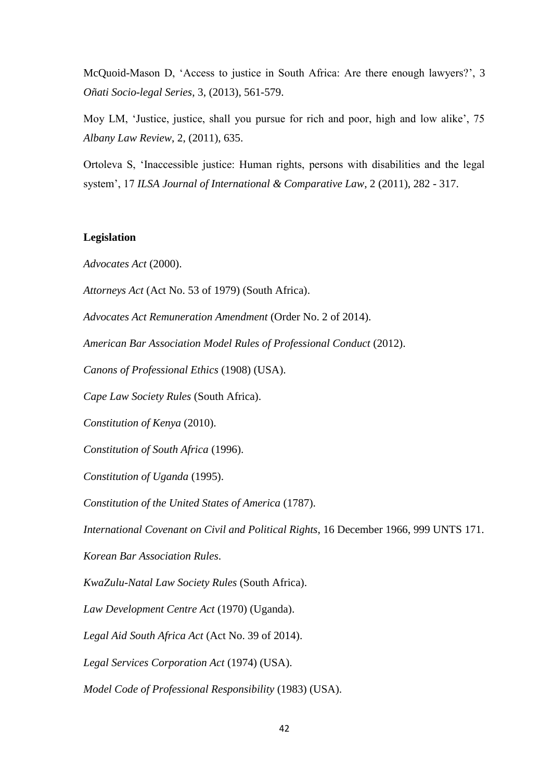McQuoid-Mason D, "Access to justice in South Africa: Are there enough lawyers?", 3 *Oñati Socio-legal Series*, 3, (2013), 561-579.

Moy LM, 'Justice, justice, shall you pursue for rich and poor, high and low alike', 75 *Albany Law Review*, 2, (2011), 635.

Ortoleva S, "Inaccessible justice: Human rights, persons with disabilities and the legal system", 17 *ILSA Journal of International & Comparative Law*, 2 (2011), 282 - 317.

## **Legislation**

*Advocates Act* (2000).

*Attorneys Act* (Act No. 53 of 1979) (South Africa).

*Advocates Act Remuneration Amendment* (Order No. 2 of 2014).

*American Bar Association Model Rules of Professional Conduct* (2012).

*Canons of Professional Ethics* (1908) (USA).

*Cape Law Society Rules* (South Africa).

*Constitution of Kenya* (2010).

*Constitution of South Africa* (1996).

*Constitution of Uganda* (1995).

*Constitution of the United States of America* (1787).

*International Covenant on Civil and Political Rights*, 16 December 1966, 999 UNTS 171.

*Korean Bar Association Rules*.

*KwaZulu-Natal Law Society Rules* (South Africa).

*Law Development Centre Act* (1970) (Uganda).

*Legal Aid South Africa Act* (Act No. 39 of 2014).

*Legal Services Corporation Act* (1974) (USA).

*Model Code of Professional Responsibility* (1983) (USA).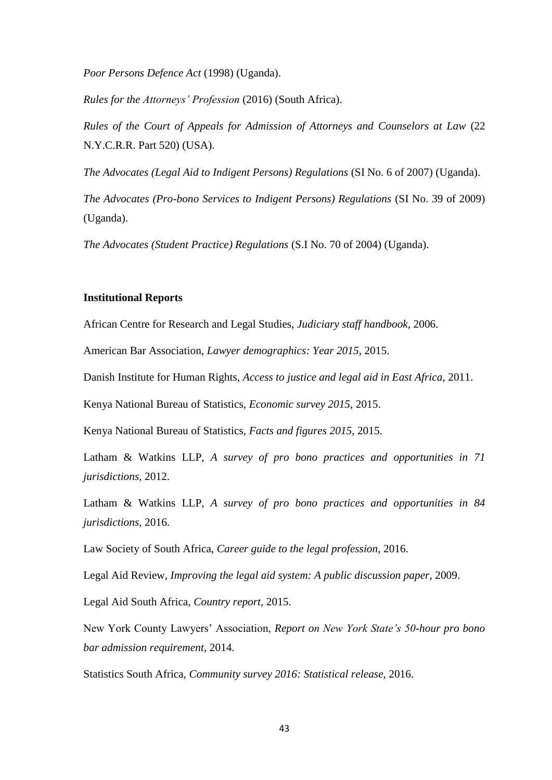*Poor Persons Defence Act* (1998) (Uganda).

*Rules for the Attorneys' Profession* (2016) (South Africa).

*Rules of the Court of Appeals for Admission of Attorneys and Counselors at Law* (22 N.Y.C.R.R. Part 520) (USA).

*The Advocates (Legal Aid to Indigent Persons) Regulations* (SI No. 6 of 2007) (Uganda).

*The Advocates (Pro-bono Services to Indigent Persons) Regulations (SI No. 39 of 2009)* (Uganda).

*The Advocates (Student Practice) Regulations* (S.I No. 70 of 2004) (Uganda).

### **Institutional Reports**

African Centre for Research and Legal Studies, *Judiciary staff handbook*, 2006.

American Bar Association, *Lawyer demographics: Year 2015*, 2015.

Danish Institute for Human Rights, *Access to justice and legal aid in East Africa*, 2011.

Kenya National Bureau of Statistics, *Economic survey 2015*, 2015.

Kenya National Bureau of Statistics, *Facts and figures 2015*, 2015.

Latham & Watkins LLP, *A survey of pro bono practices and opportunities in 71 jurisdictions*, 2012.

Latham & Watkins LLP, *A survey of pro bono practices and opportunities in 84 jurisdictions*, 2016.

Law Society of South Africa, *Career guide to the legal profession*, 2016.

Legal Aid Review, *Improving the legal aid system: A public discussion paper*, 2009.

Legal Aid South Africa, *Country report*, 2015.

New York County Lawyers" Association, *Report on New York State's 50-hour pro bono bar admission requirement*, 2014.

Statistics South Africa, *Community survey 2016: Statistical release*, 2016.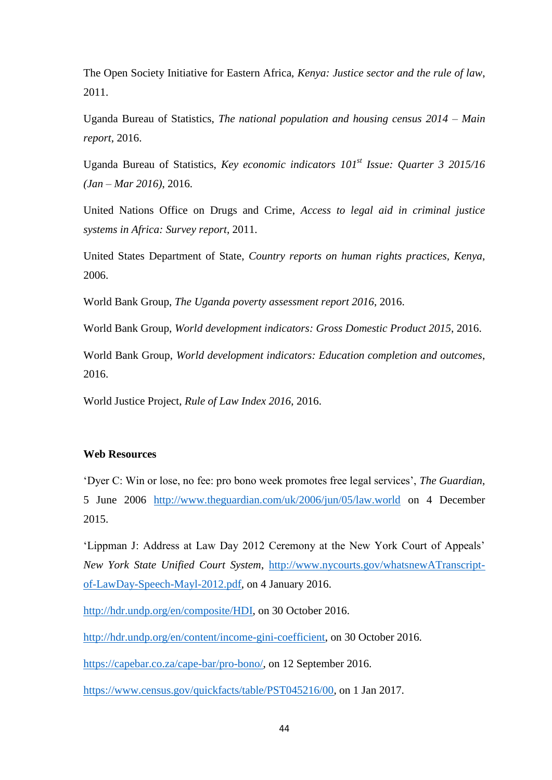The Open Society Initiative for Eastern Africa, *Kenya: Justice sector and the rule of law*, 2011.

Uganda Bureau of Statistics, *The national population and housing census 2014 – Main report*, 2016.

Uganda Bureau of Statistics, *Key economic indicators 101st Issue: Quarter 3 2015/16 (Jan – Mar 2016)*, 2016.

United Nations Office on Drugs and Crime, *Access to legal aid in criminal justice systems in Africa: Survey report*, 2011.

United States Department of State, *Country reports on human rights practices, Kenya*, 2006.

World Bank Group, *The Uganda poverty assessment report 2016*, 2016.

World Bank Group, *World development indicators: Gross Domestic Product 2015*, 2016.

World Bank Group, *World development indicators: Education completion and outcomes*, 2016.

World Justice Project, *Rule of Law Index 2016*, 2016.

## **Web Resources**

"Dyer C: Win or lose, no fee: pro bono week promotes free legal services", *The Guardian*, 5 June 2006 <http://www.theguardian.com/uk/2006/jun/05/law.world> on 4 December 2015.

'Lippman J: Address at Law Day 2012 Ceremony at the New York Court of Appeals' *New York State Unified Court System*, [http://www.nycourts.gov/whatsnewATranscript](http://www.nycourts.gov/whatsnewATranscript-of-LawDay-Speech-Mayl-2012.pdf)[of-LawDay-Speech-Mayl-2012.pdf,](http://www.nycourts.gov/whatsnewATranscript-of-LawDay-Speech-Mayl-2012.pdf) on 4 January 2016.

[http://hdr.undp.org/en/composite/HDI,](http://hdr.undp.org/en/composite/HDI) on 30 October 2016.

[http://hdr.undp.org/en/content/income-gini-coefficient,](http://hdr.undp.org/en/content/income-gini-coefficient) on 30 October 2016.

[https://capebar.co.za/cape-bar/pro-bono/,](https://capebar.co.za/cape-bar/pro-bono/) on 12 September 2016.

[https://www.census.gov/quickfacts/table/PST045216/00,](https://www.census.gov/quickfacts/table/PST045216/00) on 1 Jan 2017.